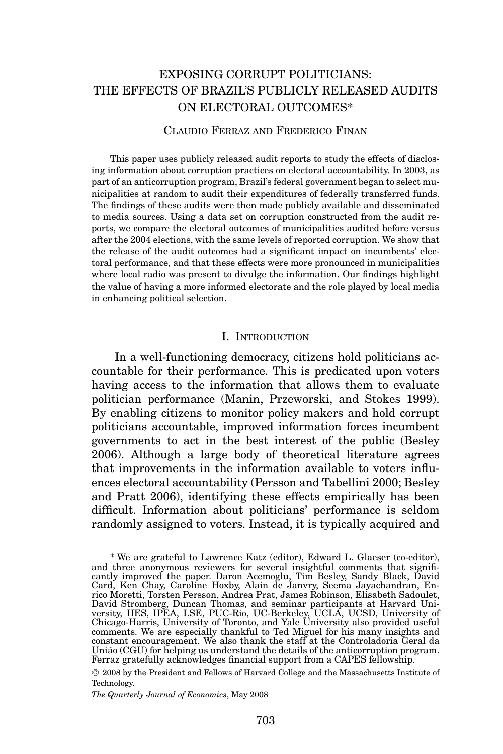# EXPOSING CORRUPT POLITICIANS: THE EFFECTS OF BRAZIL'S PUBLICLY RELEASED AUDITS ON ELECTORAL OUTCOMES\*

### CLAUDIO FERRAZ AND FREDERICO FINAN

This paper uses publicly released audit reports to study the effects of disclosing information about corruption practices on electoral accountability. In 2003, as part of an anticorruption program, Brazil's federal government began to select municipalities at random to audit their expenditures of federally transferred funds. The findings of these audits were then made publicly available and disseminated to media sources. Using a data set on corruption constructed from the audit reports, we compare the electoral outcomes of municipalities audited before versus after the 2004 elections, with the same levels of reported corruption. We show that the release of the audit outcomes had a significant impact on incumbents' electoral performance, and that these effects were more pronounced in municipalities where local radio was present to divulge the information. Our findings highlight the value of having a more informed electorate and the role played by local media in enhancing political selection.

### I. INTRODUCTION

In a well-functioning democracy, citizens hold politicians accountable for their performance. This is predicated upon voters having access to the information that allows them to evaluate politician performance (Manin, Przeworski, and Stokes 1999). By enabling citizens to monitor policy makers and hold corrupt politicians accountable, improved information forces incumbent governments to act in the best interest of the public (Besley 2006). Although a large body of theoretical literature agrees that improvements in the information available to voters influences electoral accountability (Persson and Tabellini 2000; Besley and Pratt 2006), identifying these effects empirically has been difficult. Information about politicians' performance is seldom randomly assigned to voters. Instead, it is typically acquired and

<sup>C</sup> 2008 by the President and Fellows of Harvard College and the Massachusetts Institute of Technology.

*The Quarterly Journal of Economics*, May 2008

<sup>\*</sup> We are grateful to Lawrence Katz (editor), Edward L. Glaeser (co-editor), and three anonymous reviewers for several insightful comments that significantly improved the paper. Daron Acemoglu, Tim Besley, Sandy Black, David<br>Card, Ken Chay, Caroline Hoxby, Alain de Janvry, Seema Jayachandran, En-<br>rico Moretti, Torsten Persson, Andrea Prat, James Robinson, Elisabeth Sadou David Stromberg, Duncan Thomas, and seminar participants at Harvard University, IIES, IPEA, LSE, PUC-Rio, UC-Berkeley, UCLA, UCSD, University of Chicago-Harris, University of Toronto, and Yale University also provided usef União (CGU) for helping us understand the details of the anticorruption program.<br>Ferraz gratefully acknowledges financial support from a CAPES fellowship.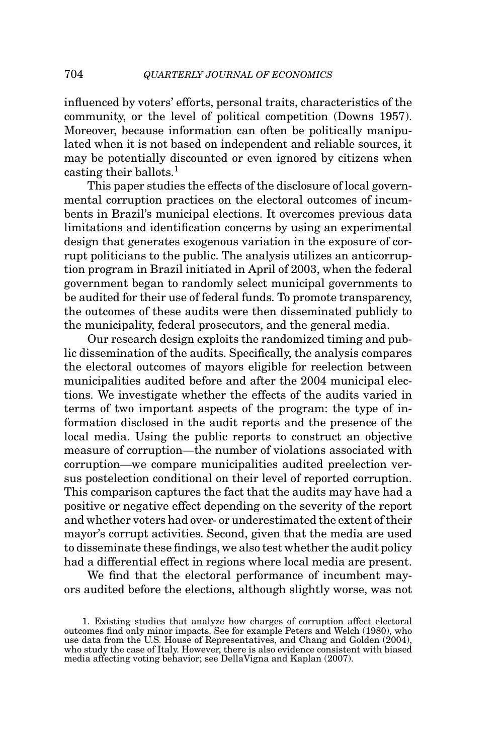influenced by voters' efforts, personal traits, characteristics of the community, or the level of political competition (Downs 1957). Moreover, because information can often be politically manipulated when it is not based on independent and reliable sources, it may be potentially discounted or even ignored by citizens when casting their ballots. $<sup>1</sup>$ </sup>

This paper studies the effects of the disclosure of local governmental corruption practices on the electoral outcomes of incumbents in Brazil's municipal elections. It overcomes previous data limitations and identification concerns by using an experimental design that generates exogenous variation in the exposure of corrupt politicians to the public. The analysis utilizes an anticorruption program in Brazil initiated in April of 2003, when the federal government began to randomly select municipal governments to be audited for their use of federal funds. To promote transparency, the outcomes of these audits were then disseminated publicly to the municipality, federal prosecutors, and the general media.

Our research design exploits the randomized timing and public dissemination of the audits. Specifically, the analysis compares the electoral outcomes of mayors eligible for reelection between municipalities audited before and after the 2004 municipal elections. We investigate whether the effects of the audits varied in terms of two important aspects of the program: the type of information disclosed in the audit reports and the presence of the local media. Using the public reports to construct an objective measure of corruption—the number of violations associated with corruption—we compare municipalities audited preelection versus postelection conditional on their level of reported corruption. This comparison captures the fact that the audits may have had a positive or negative effect depending on the severity of the report and whether voters had over- or underestimated the extent of their mayor's corrupt activities. Second, given that the media are used to disseminate these findings, we also test whether the audit policy had a differential effect in regions where local media are present.

We find that the electoral performance of incumbent mayors audited before the elections, although slightly worse, was not

<sup>1.</sup> Existing studies that analyze how charges of corruption affect electoral outcomes find only minor impacts. See for example Peters and Welch (1980), who use data from the U.S. House of Representatives, and Chang and Golden (2004), who study the case of Italy. However, there is also evidence consistent with biased media affecting voting behavior; see DellaVigna and Kaplan (2007).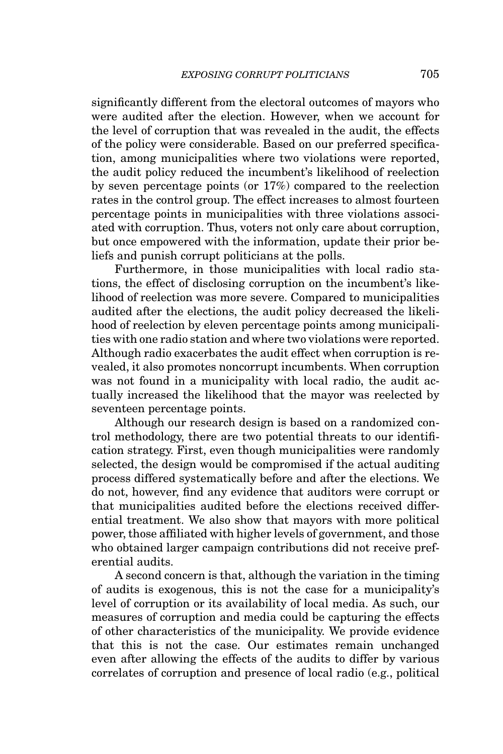significantly different from the electoral outcomes of mayors who were audited after the election. However, when we account for the level of corruption that was revealed in the audit, the effects of the policy were considerable. Based on our preferred specification, among municipalities where two violations were reported, the audit policy reduced the incumbent's likelihood of reelection by seven percentage points (or 17%) compared to the reelection rates in the control group. The effect increases to almost fourteen percentage points in municipalities with three violations associated with corruption. Thus, voters not only care about corruption, but once empowered with the information, update their prior beliefs and punish corrupt politicians at the polls.

Furthermore, in those municipalities with local radio stations, the effect of disclosing corruption on the incumbent's likelihood of reelection was more severe. Compared to municipalities audited after the elections, the audit policy decreased the likelihood of reelection by eleven percentage points among municipalities with one radio station and where two violations were reported. Although radio exacerbates the audit effect when corruption is revealed, it also promotes noncorrupt incumbents. When corruption was not found in a municipality with local radio, the audit actually increased the likelihood that the mayor was reelected by seventeen percentage points.

Although our research design is based on a randomized control methodology, there are two potential threats to our identification strategy. First, even though municipalities were randomly selected, the design would be compromised if the actual auditing process differed systematically before and after the elections. We do not, however, find any evidence that auditors were corrupt or that municipalities audited before the elections received differential treatment. We also show that mayors with more political power, those affiliated with higher levels of government, and those who obtained larger campaign contributions did not receive preferential audits.

A second concern is that, although the variation in the timing of audits is exogenous, this is not the case for a municipality's level of corruption or its availability of local media. As such, our measures of corruption and media could be capturing the effects of other characteristics of the municipality. We provide evidence that this is not the case. Our estimates remain unchanged even after allowing the effects of the audits to differ by various correlates of corruption and presence of local radio (e.g., political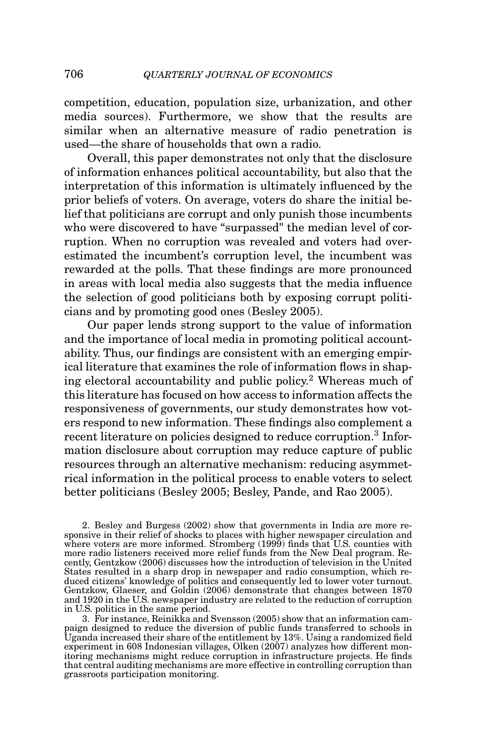competition, education, population size, urbanization, and other media sources). Furthermore, we show that the results are similar when an alternative measure of radio penetration is used—the share of households that own a radio.

Overall, this paper demonstrates not only that the disclosure of information enhances political accountability, but also that the interpretation of this information is ultimately influenced by the prior beliefs of voters. On average, voters do share the initial belief that politicians are corrupt and only punish those incumbents who were discovered to have "surpassed" the median level of corruption. When no corruption was revealed and voters had overestimated the incumbent's corruption level, the incumbent was rewarded at the polls. That these findings are more pronounced in areas with local media also suggests that the media influence the selection of good politicians both by exposing corrupt politicians and by promoting good ones (Besley 2005).

Our paper lends strong support to the value of information and the importance of local media in promoting political accountability. Thus, our findings are consistent with an emerging empirical literature that examines the role of information flows in shaping electoral accountability and public policy.2 Whereas much of this literature has focused on how access to information affects the responsiveness of governments, our study demonstrates how voters respond to new information. These findings also complement a recent literature on policies designed to reduce corruption.<sup>3</sup> Information disclosure about corruption may reduce capture of public resources through an alternative mechanism: reducing asymmetrical information in the political process to enable voters to select better politicians (Besley 2005; Besley, Pande, and Rao 2005).

2. Besley and Burgess (2002) show that governments in India are more re-sponsive in their relief of shocks to places with higher newspaper circulation and where voters are more informed. Stromberg (1999) finds that U.S. counties with more radio listeners received more relief funds from the New Deal program. Recently, Gentzkow (2006) discusses how the introduction of television in the United States resulted in a sharp drop in newspaper and radio consumption, which reduced citizens' knowledge of politics and consequently led to lower voter turnout. Gentzkow, Glaeser, and Goldin (2006) demonstrate that changes between 1870 and 1920 in the U.S. newspaper industry are related to the reduction of corruption in U.S. politics in the same period.

3. For instance, Reinikka and Svensson (2005) show that an information campaign designed to reduce the diversion of public funds transferred to schools in Uganda increased their share of the entitlement by 13%. Using a randomized field experiment in 608 Indonesian villages, Olken (2007) analyzes how different monitoring mechanisms might reduce corruption in infrastructure projects. He finds that central auditing mechanisms are more effective in controlling corruption than grassroots participation monitoring.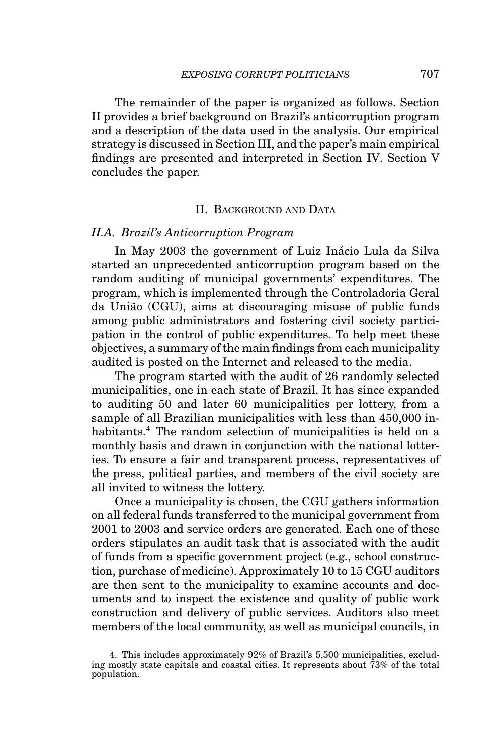The remainder of the paper is organized as follows. Section II provides a brief background on Brazil's anticorruption program and a description of the data used in the analysis. Our empirical strategy is discussed in Section III, and the paper's main empirical findings are presented and interpreted in Section IV. Section V concludes the paper.

### II. BACKGROUND AND DATA

### *II.A. Brazil's Anticorruption Program*

In May 2003 the government of Luiz Inácio Lula da Silva started an unprecedented anticorruption program based on the random auditing of municipal governments' expenditures. The program, which is implemented through the Controladoria Geral da União (CGU), aims at discouraging misuse of public funds among public administrators and fostering civil society participation in the control of public expenditures. To help meet these objectives, a summary of the main findings from each municipality audited is posted on the Internet and released to the media.

The program started with the audit of 26 randomly selected municipalities, one in each state of Brazil. It has since expanded to auditing 50 and later 60 municipalities per lottery, from a sample of all Brazilian municipalities with less than 450,000 inhabitants.<sup>4</sup> The random selection of municipalities is held on a monthly basis and drawn in conjunction with the national lotteries. To ensure a fair and transparent process, representatives of the press, political parties, and members of the civil society are all invited to witness the lottery.

Once a municipality is chosen, the CGU gathers information on all federal funds transferred to the municipal government from 2001 to 2003 and service orders are generated. Each one of these orders stipulates an audit task that is associated with the audit of funds from a specific government project (e.g., school construction, purchase of medicine). Approximately 10 to 15 CGU auditors are then sent to the municipality to examine accounts and documents and to inspect the existence and quality of public work construction and delivery of public services. Auditors also meet members of the local community, as well as municipal councils, in

<sup>4.</sup> This includes approximately 92% of Brazil's 5,500 municipalities, excluding mostly state capitals and coastal cities. It represents about 73% of the total population.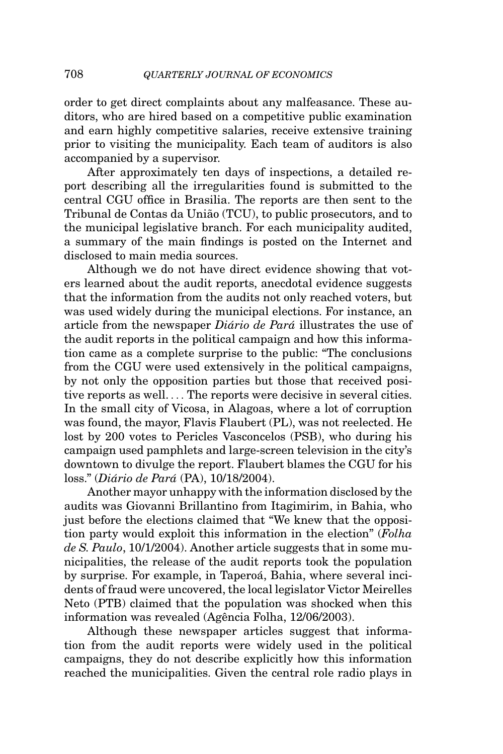order to get direct complaints about any malfeasance. These auditors, who are hired based on a competitive public examination and earn highly competitive salaries, receive extensive training prior to visiting the municipality. Each team of auditors is also accompanied by a supervisor.

After approximately ten days of inspections, a detailed report describing all the irregularities found is submitted to the central CGU office in Brasilia. The reports are then sent to the Tribunal de Contas da União (TCU), to public prosecutors, and to the municipal legislative branch. For each municipality audited, a summary of the main findings is posted on the Internet and disclosed to main media sources.

Although we do not have direct evidence showing that voters learned about the audit reports, anecdotal evidence suggests that the information from the audits not only reached voters, but was used widely during the municipal elections. For instance, an article from the newspaper *Diário de Pará* illustrates the use of the audit reports in the political campaign and how this information came as a complete surprise to the public: "The conclusions from the CGU were used extensively in the political campaigns, by not only the opposition parties but those that received positive reports as well. ... The reports were decisive in several cities. In the small city of Vicosa, in Alagoas, where a lot of corruption was found, the mayor, Flavis Flaubert (PL), was not reelected. He lost by 200 votes to Pericles Vasconcelos (PSB), who during his campaign used pamphlets and large-screen television in the city's downtown to divulge the report. Flaubert blames the CGU for his loss." (*Diário de Pará* (PA), 10/18/2004).

Another mayor unhappy with the information disclosed by the audits was Giovanni Brillantino from Itagimirim, in Bahia, who just before the elections claimed that "We knew that the opposition party would exploit this information in the election" (*Folha de S. Paulo*, 10/1/2004). Another article suggests that in some municipalities, the release of the audit reports took the population by surprise. For example, in Taperoá, Bahia, where several incidents of fraud were uncovered, the local legislator Victor Meirelles Neto (PTB) claimed that the population was shocked when this information was revealed (Agência Folha, 12/06/2003).

Although these newspaper articles suggest that information from the audit reports were widely used in the political campaigns, they do not describe explicitly how this information reached the municipalities. Given the central role radio plays in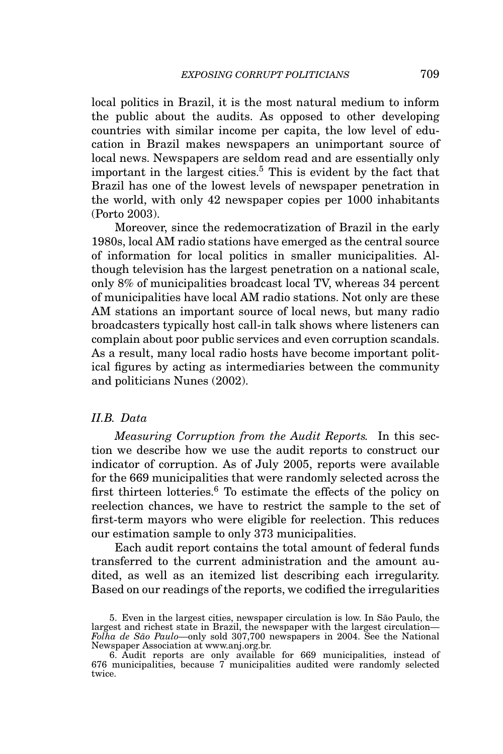local politics in Brazil, it is the most natural medium to inform the public about the audits. As opposed to other developing countries with similar income per capita, the low level of education in Brazil makes newspapers an unimportant source of local news. Newspapers are seldom read and are essentially only important in the largest cities.<sup>5</sup> This is evident by the fact that Brazil has one of the lowest levels of newspaper penetration in the world, with only 42 newspaper copies per 1000 inhabitants (Porto 2003).

Moreover, since the redemocratization of Brazil in the early 1980s, local AM radio stations have emerged as the central source of information for local politics in smaller municipalities. Although television has the largest penetration on a national scale, only 8% of municipalities broadcast local TV, whereas 34 percent of municipalities have local AM radio stations. Not only are these AM stations an important source of local news, but many radio broadcasters typically host call-in talk shows where listeners can complain about poor public services and even corruption scandals. As a result, many local radio hosts have become important political figures by acting as intermediaries between the community and politicians Nunes (2002).

### *II.B. Data*

*Measuring Corruption from the Audit Reports.* In this section we describe how we use the audit reports to construct our indicator of corruption. As of July 2005, reports were available for the 669 municipalities that were randomly selected across the first thirteen lotteries.<sup>6</sup> To estimate the effects of the policy on reelection chances, we have to restrict the sample to the set of first-term mayors who were eligible for reelection. This reduces our estimation sample to only 373 municipalities.

Each audit report contains the total amount of federal funds transferred to the current administration and the amount audited, as well as an itemized list describing each irregularity. Based on our readings of the reports, we codified the irregularities

<sup>5.</sup> Even in the largest cities, newspaper circulation is low. In São Paulo, the largest and richest state in Brazil, the newspaper with the largest circulation— *Folha de S˜ao Paulo*—only sold 307,700 newspapers in 2004. See the National Newspaper Association at www.anj.org.br.

<sup>6.</sup> Audit reports are only available for 669 municipalities, instead of 676 municipalities, because 7 municipalities audited were randomly selected twice.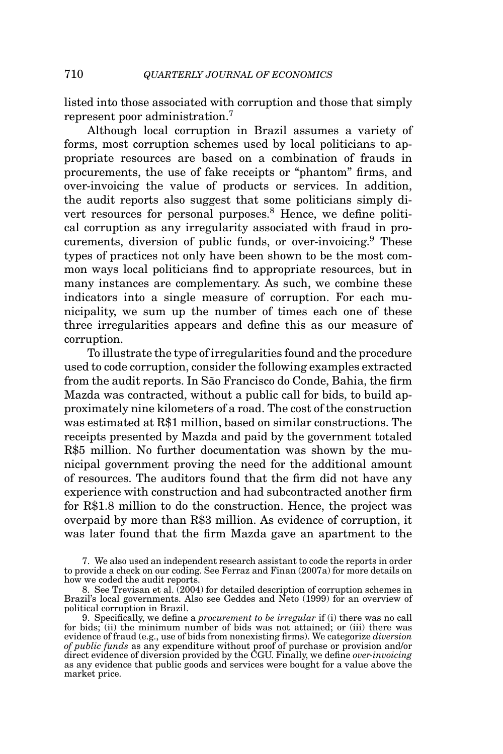listed into those associated with corruption and those that simply represent poor administration.<sup>7</sup>

Although local corruption in Brazil assumes a variety of forms, most corruption schemes used by local politicians to appropriate resources are based on a combination of frauds in procurements, the use of fake receipts or "phantom" firms, and over-invoicing the value of products or services. In addition, the audit reports also suggest that some politicians simply divert resources for personal purposes.<sup>8</sup> Hence, we define political corruption as any irregularity associated with fraud in procurements, diversion of public funds, or over-invoicing.<sup>9</sup> These types of practices not only have been shown to be the most common ways local politicians find to appropriate resources, but in many instances are complementary. As such, we combine these indicators into a single measure of corruption. For each municipality, we sum up the number of times each one of these three irregularities appears and define this as our measure of corruption.

To illustrate the type of irregularities found and the procedure used to code corruption, consider the following examples extracted from the audit reports. In São Francisco do Conde, Bahia, the firm Mazda was contracted, without a public call for bids, to build approximately nine kilometers of a road. The cost of the construction was estimated at R\$1 million, based on similar constructions. The receipts presented by Mazda and paid by the government totaled R\$5 million. No further documentation was shown by the municipal government proving the need for the additional amount of resources. The auditors found that the firm did not have any experience with construction and had subcontracted another firm for R\$1.8 million to do the construction. Hence, the project was overpaid by more than R\$3 million. As evidence of corruption, it was later found that the firm Mazda gave an apartment to the

7. We also used an independent research assistant to code the reports in order to provide a check on our coding. See Ferraz and Finan (2007a) for more details on how we coded the audit reports.

8. See Trevisan et al. (2004) for detailed description of corruption schemes in Brazil's local governments. Also see Geddes and Neto (1999) for an overview of political corruption in Brazil.

9. Specifically, we define a *procurement to be irregular* if (i) there was no call for bids; (ii) the minimum number of bids was not attained; or (iii) there was evidence of fraud (e.g., use of bids from nonexisting firms). We categorize *diversion of public funds* as any expenditure without proof of purchase or provision and/or direct evidence of diversion provided by the CGU. Finally, we define *over-invoicing* as any evidence that public goods and services were bought for a value above the market price.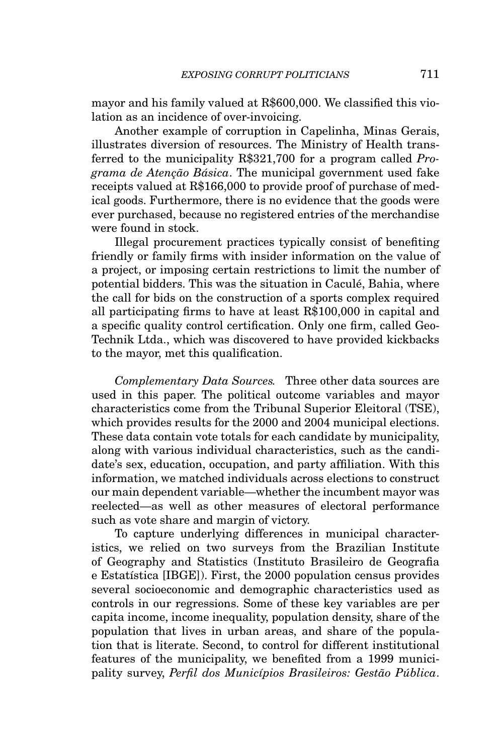mayor and his family valued at R\$600,000. We classified this violation as an incidence of over-invoicing.

Another example of corruption in Capelinha, Minas Gerais, illustrates diversion of resources. The Ministry of Health transferred to the municipality R\$321,700 for a program called *Programa de Aten¸c˜ao B´asica*. The municipal government used fake receipts valued at R\$166,000 to provide proof of purchase of medical goods. Furthermore, there is no evidence that the goods were ever purchased, because no registered entries of the merchandise were found in stock.

Illegal procurement practices typically consist of benefiting friendly or family firms with insider information on the value of a project, or imposing certain restrictions to limit the number of potential bidders. This was the situation in Cacule, Bahia, where ´ the call for bids on the construction of a sports complex required all participating firms to have at least R\$100,000 in capital and a specific quality control certification. Only one firm, called Geo-Technik Ltda., which was discovered to have provided kickbacks to the mayor, met this qualification.

*Complementary Data Sources.* Three other data sources are used in this paper. The political outcome variables and mayor characteristics come from the Tribunal Superior Eleitoral (TSE), which provides results for the 2000 and 2004 municipal elections. These data contain vote totals for each candidate by municipality, along with various individual characteristics, such as the candidate's sex, education, occupation, and party affiliation. With this information, we matched individuals across elections to construct our main dependent variable—whether the incumbent mayor was reelected—as well as other measures of electoral performance such as vote share and margin of victory.

To capture underlying differences in municipal characteristics, we relied on two surveys from the Brazilian Institute of Geography and Statistics (Instituto Brasileiro de Geografia e Estatística [IBGE]). First, the 2000 population census provides several socioeconomic and demographic characteristics used as controls in our regressions. Some of these key variables are per capita income, income inequality, population density, share of the population that lives in urban areas, and share of the population that is literate. Second, to control for different institutional features of the municipality, we benefited from a 1999 municipality survey, *Perfil dos Municípios Brasileiros: Gestão Pública.*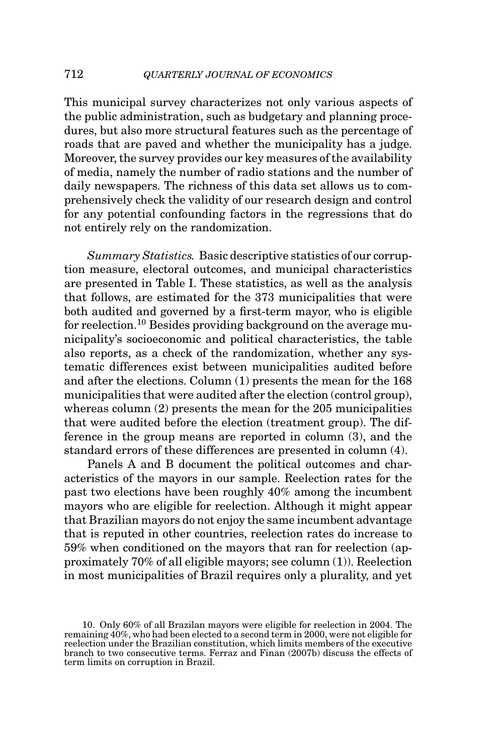This municipal survey characterizes not only various aspects of the public administration, such as budgetary and planning procedures, but also more structural features such as the percentage of roads that are paved and whether the municipality has a judge. Moreover, the survey provides our key measures of the availability of media, namely the number of radio stations and the number of daily newspapers. The richness of this data set allows us to comprehensively check the validity of our research design and control for any potential confounding factors in the regressions that do not entirely rely on the randomization.

*Summary Statistics.* Basic descriptive statistics of our corruption measure, electoral outcomes, and municipal characteristics are presented in Table I. These statistics, as well as the analysis that follows, are estimated for the 373 municipalities that were both audited and governed by a first-term mayor, who is eligible for reelection.<sup>10</sup> Besides providing background on the average municipality's socioeconomic and political characteristics, the table also reports, as a check of the randomization, whether any systematic differences exist between municipalities audited before and after the elections. Column (1) presents the mean for the 168 municipalities that were audited after the election (control group), whereas column (2) presents the mean for the 205 municipalities that were audited before the election (treatment group). The difference in the group means are reported in column (3), and the standard errors of these differences are presented in column (4).

Panels A and B document the political outcomes and characteristics of the mayors in our sample. Reelection rates for the past two elections have been roughly 40% among the incumbent mayors who are eligible for reelection. Although it might appear that Brazilian mayors do not enjoy the same incumbent advantage that is reputed in other countries, reelection rates do increase to 59% when conditioned on the mayors that ran for reelection (approximately 70% of all eligible mayors; see column (1)). Reelection in most municipalities of Brazil requires only a plurality, and yet

<sup>10.</sup> Only 60% of all Brazilan mayors were eligible for reelection in 2004. The remaining 40%, who had been elected to a second term in 2000, were not eligible for reelection under the Brazilian constitution, which limits members of the executive branch to two consecutive terms. Ferraz and Finan (2007b) discuss the effects of term limits on corruption in Brazil.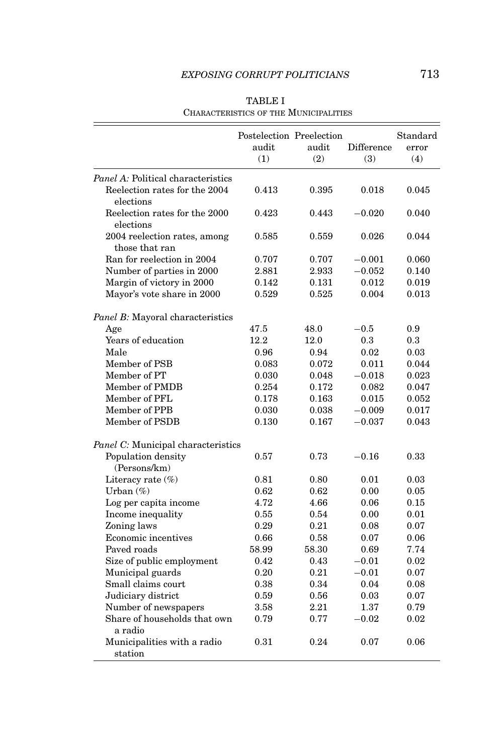|                                           | Postelection Preelection |       |            | Standard |
|-------------------------------------------|--------------------------|-------|------------|----------|
|                                           | audit                    | audit | Difference | error    |
|                                           | (1)                      | (2)   | (3)        | (4)      |
| <i>Panel A:</i> Political characteristics |                          |       |            |          |
| Reelection rates for the 2004             | 0.413                    | 0.395 | 0.018      | 0.045    |
| elections                                 |                          |       |            |          |
| Reelection rates for the 2000             | 0.423                    | 0.443 | $-0.020$   | 0.040    |
| elections                                 |                          |       |            |          |
| 2004 reelection rates, among              | 0.585                    | 0.559 | 0.026      | 0.044    |
| those that ran                            |                          |       |            |          |
| Ran for reelection in 2004                | 0.707                    | 0.707 | $-0.001$   | 0.060    |
| Number of parties in 2000                 | 2.881                    | 2.933 | $-0.052$   | 0.140    |
| Margin of victory in 2000                 | 0.142                    | 0.131 | 0.012      | 0.019    |
| Mayor's vote share in 2000                | 0.529                    | 0.525 | 0.004      | 0.013    |
|                                           |                          |       |            |          |
| Panel B: Mayoral characteristics          |                          |       |            |          |
| Age                                       | 47.5                     | 48.0  | $-0.5$     | 0.9      |
| Years of education                        | 12.2                     | 12.0  | 0.3        | 0.3      |
| Male                                      | 0.96                     | 0.94  | 0.02       | 0.03     |
| Member of PSB                             | 0.083                    | 0.072 | 0.011      | 0.044    |
| Member of PT                              | 0.030                    | 0.048 | $-0.018$   | 0.023    |
| Member of PMDB                            | 0.254                    | 0.172 | 0.082      | 0.047    |
| Member of PFL                             | 0.178                    | 0.163 | 0.015      | 0.052    |
| Member of PPB                             | 0.030                    | 0.038 | $-0.009$   | 0.017    |
| Member of PSDB                            | 0.130                    | 0.167 | $-0.037$   | 0.043    |
| Panel C: Municipal characteristics        |                          |       |            |          |
| Population density                        | 0.57                     | 0.73  | $-0.16$    | 0.33     |
| (Persons/km)                              |                          |       |            |          |
| Literacy rate (%)                         | 0.81                     | 0.80  | 0.01       | 0.03     |
| Urban $(\%)$                              | 0.62                     | 0.62  | 0.00       | 0.05     |
| Log per capita income                     | 4.72                     | 4.66  | 0.06       | 0.15     |
| Income inequality                         | 0.55                     | 0.54  | 0.00       | 0.01     |
| Zoning laws                               | 0.29                     | 0.21  | 0.08       | 0.07     |
| Economic incentives                       | 0.66                     | 0.58  | 0.07       | 0.06     |
| Paved roads                               | 58.99                    | 58.30 | 0.69       | 7.74     |
| Size of public employment                 | 0.42                     | 0.43  | $-0.01$    | 0.02     |
| Municipal guards                          | 0.20                     | 0.21  | $-0.01$    | 0.07     |
| Small claims court                        | 0.38                     | 0.34  | 0.04       | 0.08     |
| Judiciary district                        | 0.59                     | 0.56  | 0.03       | 0.07     |
| Number of newspapers                      | 3.58                     | 2.21  | 1.37       | 0.79     |
| Share of households that own              | 0.79                     | 0.77  | $-0.02$    | 0.02     |
| a radio                                   |                          |       |            |          |
| Municipalities with a radio               | 0.31                     | 0.24  | 0.07       | 0.06     |
| station                                   |                          |       |            |          |

TABLE I CHARACTERISTICS OF THE MUNICIPALITIES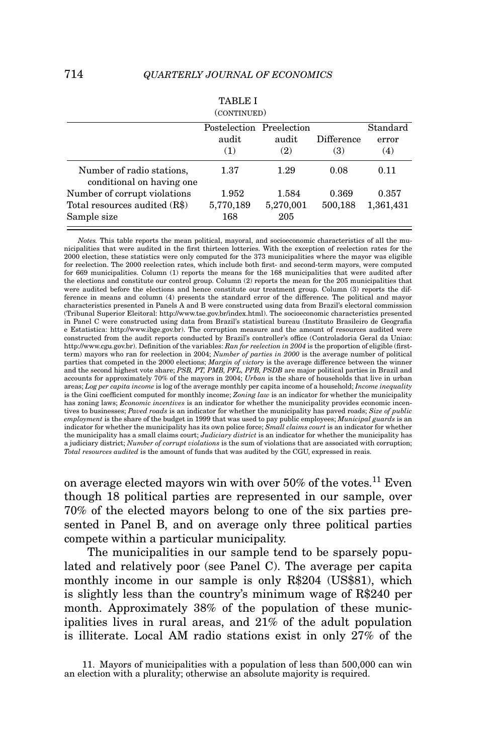|                                                        | TABLE I<br>(CONTINUED)                   |              |                   |                          |
|--------------------------------------------------------|------------------------------------------|--------------|-------------------|--------------------------|
|                                                        | Postelection Preelection<br>audit<br>(1) | audit<br>(2) | Difference<br>(3) | Standard<br>error<br>(4) |
| Number of radio stations,<br>conditional on having one | 1.37                                     | 1.29         | 0.08              | 0.11                     |
| Number of corrupt violations                           | 1.952                                    | 1.584        | 0.369             | 0.357                    |
| Total resources audited (R\$)                          | 5,770,189                                | 5,270,001    | 500,188           | 1,361,431                |
| Sample size                                            | 168                                      | 205          |                   |                          |

*Notes.* This table reports the mean political, mayoral, and socioeconomic characteristics of all the municipalities that were audited in the first thirteen lotteries. With the exception of reelection rates for the 2000 election, these statistics were only computed for the 373 municipalities where the mayor was eligible for reelection. The 2000 reelection rates, which include both first- and second-term mayors, were computed for 669 municipalities. Column (1) reports the means for the 168 municipalities that were audited after the elections and constitute our control group. Column (2) reports the mean for the 205 municipalities that were audited before the elections and hence constitute our treatment group. Column (3) reports the difference in means and column (4) presents the standard error of the difference. The political and mayor characteristics presented in Panels A and B were constructed using data from Brazil's electoral commission (Tribunal Superior Eleitoral: http://www.tse.gov.br/index.html). The socioeconomic characteristics presented in Panel C were constructed using data from Brazil's statistical bureau (Instituto Brasileiro de Geografia e Estatistica: http://www.ibge.gov.br). The corruption measure and the amount of resources audited were constructed from the audit reports conducted by Brazil's controller's office (Controladoria Geral da Uniao: http://www.cgu.gov.br). Definition of the variables: *Ran for reelection in 2004* is the proportion of eligible (firstterm) mayors who ran for reelection in 2004; *Number of parties in 2000* is the average number of political parties that competed in the 2000 elections; *Margin of victory* is the average difference between the winner<br>and the second highest vote share; PSB, PT, PMB, PFL, PPB, PSDB are major political parties in Brazil and accounts for approximately 70% of the mayors in 2004; *Urban* is the share of households that live in urban areas; *Log per capita income* is log of the average monthly per capita income of a household; *Income inequality* is the Gini coefficient computed for monthly income; *Zoning law* is an indicator for whether the municipality has zoning laws; *Economic incentives* is an indicator for whether the municipality provides economic incentives to businesses; *Paved roads* is an indicator for whether the municipality has paved roads; *Size of public employment* is the share of the budget in 1999 that was used to pay public employees; *Municipal guards* is an indicator for whether the municipality has its own police force; *Small claims court* is an indicator for whether the municipality has a small claims court; *Judiciary district* is an indicator for whether the municipality has a judiciary district; *Number of corrupt violations* is the sum of violations that are associated with corruption; *Total resources audited* is the amount of funds that was audited by the CGU, expressed in reais.

on average elected mayors win with over  $50\%$  of the votes.<sup>11</sup> Even though 18 political parties are represented in our sample, over 70% of the elected mayors belong to one of the six parties presented in Panel B, and on average only three political parties compete within a particular municipality.

The municipalities in our sample tend to be sparsely populated and relatively poor (see Panel C). The average per capita monthly income in our sample is only R\$204 (US\$81), which is slightly less than the country's minimum wage of R\$240 per month. Approximately 38% of the population of these municipalities lives in rural areas, and 21% of the adult population is illiterate. Local AM radio stations exist in only 27% of the

11. Mayors of municipalities with a population of less than 500,000 can win an election with a plurality; otherwise an absolute majority is required.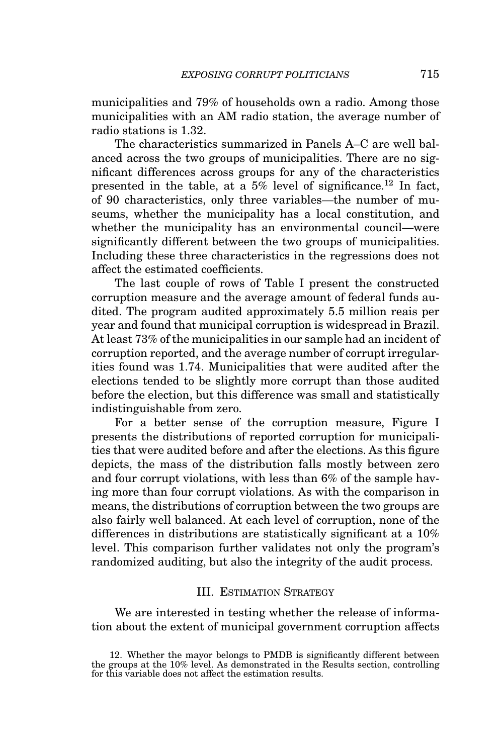municipalities and 79% of households own a radio. Among those municipalities with an AM radio station, the average number of radio stations is 1.32.

The characteristics summarized in Panels A–C are well balanced across the two groups of municipalities. There are no significant differences across groups for any of the characteristics presented in the table, at a  $5\%$  level of significance.<sup>12</sup> In fact, of 90 characteristics, only three variables—the number of museums, whether the municipality has a local constitution, and whether the municipality has an environmental council—were significantly different between the two groups of municipalities. Including these three characteristics in the regressions does not affect the estimated coefficients.

The last couple of rows of Table I present the constructed corruption measure and the average amount of federal funds audited. The program audited approximately 5.5 million reais per year and found that municipal corruption is widespread in Brazil. At least 73% of the municipalities in our sample had an incident of corruption reported, and the average number of corrupt irregularities found was 1.74. Municipalities that were audited after the elections tended to be slightly more corrupt than those audited before the election, but this difference was small and statistically indistinguishable from zero.

For a better sense of the corruption measure, Figure I presents the distributions of reported corruption for municipalities that were audited before and after the elections. As this figure depicts, the mass of the distribution falls mostly between zero and four corrupt violations, with less than 6% of the sample having more than four corrupt violations. As with the comparison in means, the distributions of corruption between the two groups are also fairly well balanced. At each level of corruption, none of the differences in distributions are statistically significant at a 10% level. This comparison further validates not only the program's randomized auditing, but also the integrity of the audit process.

### III. ESTIMATION STRATEGY

We are interested in testing whether the release of information about the extent of municipal government corruption affects

<sup>12.</sup> Whether the mayor belongs to PMDB is significantly different between the groups at the 10% level. As demonstrated in the Results section, controlling for this variable does not affect the estimation results.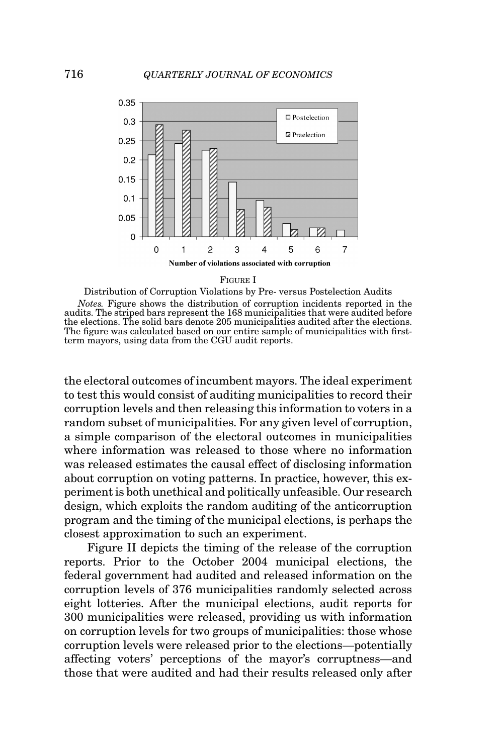

FIGURE I



*Notes.* Figure shows the distribution of corruption incidents reported in the audits. The striped bars represent the 168 municipalities that were audited before the elections. The solid bars denote 205 municipalities audited after the elections. The figure was calculated based on our entire sample of municipalities with firstterm mayors, using data from the CGU audit reports.

the electoral outcomes of incumbent mayors. The ideal experiment to test this would consist of auditing municipalities to record their corruption levels and then releasing this information to voters in a random subset of municipalities. For any given level of corruption, a simple comparison of the electoral outcomes in municipalities where information was released to those where no information was released estimates the causal effect of disclosing information about corruption on voting patterns. In practice, however, this experiment is both unethical and politically unfeasible. Our research design, which exploits the random auditing of the anticorruption program and the timing of the municipal elections, is perhaps the closest approximation to such an experiment.

Figure II depicts the timing of the release of the corruption reports. Prior to the October 2004 municipal elections, the federal government had audited and released information on the corruption levels of 376 municipalities randomly selected across eight lotteries. After the municipal elections, audit reports for 300 municipalities were released, providing us with information on corruption levels for two groups of municipalities: those whose corruption levels were released prior to the elections—potentially affecting voters' perceptions of the mayor's corruptness—and those that were audited and had their results released only after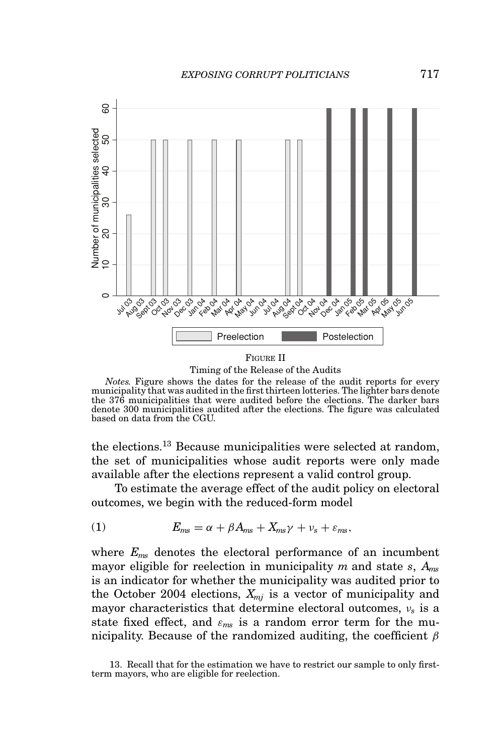

Timing of the Release of the Audits

*Notes.* Figure shows the dates for the release of the audit reports for every municipality that was audited in the first thirteen lotteries. The lighter bars denote the 376 municipalities that were audited before the elections. The darker bars denote 300 municipalities audited after the elections. The figure was calculated based on data from the CGU.

the elections.<sup>13</sup> Because municipalities were selected at random, the set of municipalities whose audit reports were only made available after the elections represent a valid control group.

To estimate the average effect of the audit policy on electoral outcomes, we begin with the reduced-form model

(1) 
$$
E_{ms} = \alpha + \beta A_{ms} + X_{ms}\gamma + \nu_s + \varepsilon_{ms},
$$

where *Ems* denotes the electoral performance of an incumbent mayor eligible for reelection in municipality *m* and state *s*, *Ams* is an indicator for whether the municipality was audited prior to the October 2004 elections,  $X_{mi}$  is a vector of municipality and mayor characteristics that determine electoral outcomes, ν*<sup>s</sup>* is a state fixed effect, and  $\varepsilon_{ms}$  is a random error term for the municipality. Because of the randomized auditing, the coefficient  $\beta$ 

13. Recall that for the estimation we have to restrict our sample to only firstterm mayors, who are eligible for reelection.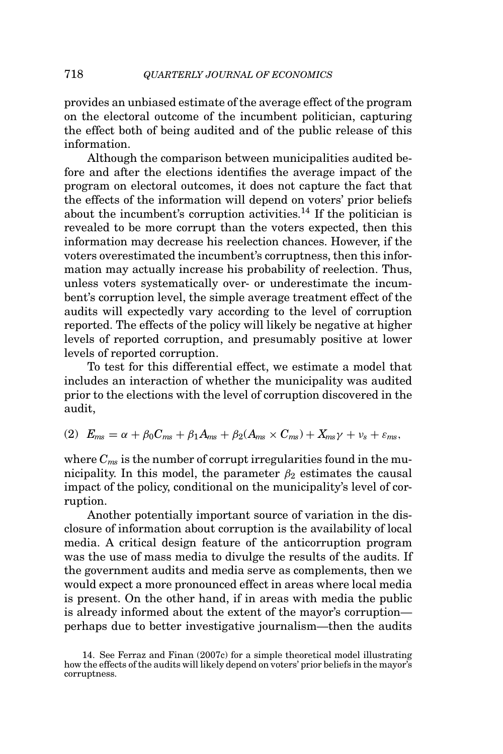provides an unbiased estimate of the average effect of the program on the electoral outcome of the incumbent politician, capturing the effect both of being audited and of the public release of this information.

Although the comparison between municipalities audited before and after the elections identifies the average impact of the program on electoral outcomes, it does not capture the fact that the effects of the information will depend on voters' prior beliefs about the incumbent's corruption activities.14 If the politician is revealed to be more corrupt than the voters expected, then this information may decrease his reelection chances. However, if the voters overestimated the incumbent's corruptness, then this information may actually increase his probability of reelection. Thus, unless voters systematically over- or underestimate the incumbent's corruption level, the simple average treatment effect of the audits will expectedly vary according to the level of corruption reported. The effects of the policy will likely be negative at higher levels of reported corruption, and presumably positive at lower levels of reported corruption.

To test for this differential effect, we estimate a model that includes an interaction of whether the municipality was audited prior to the elections with the level of corruption discovered in the audit,

$$
(2) Ems = \alpha + \beta_0 Cms + \beta_1 Ams + \beta_2 (Ams \times Cms) + Xms\gamma + \nu_s + \varepsilon_{ms},
$$

where  $C_{ms}$  is the number of corrupt irregularities found in the municipality. In this model, the parameter  $\beta_2$  estimates the causal impact of the policy, conditional on the municipality's level of corruption.

Another potentially important source of variation in the disclosure of information about corruption is the availability of local media. A critical design feature of the anticorruption program was the use of mass media to divulge the results of the audits. If the government audits and media serve as complements, then we would expect a more pronounced effect in areas where local media is present. On the other hand, if in areas with media the public is already informed about the extent of the mayor's corruption perhaps due to better investigative journalism—then the audits

<sup>14.</sup> See Ferraz and Finan (2007c) for a simple theoretical model illustrating how the effects of the audits will likely depend on voters' prior beliefs in the mayor's corruptness.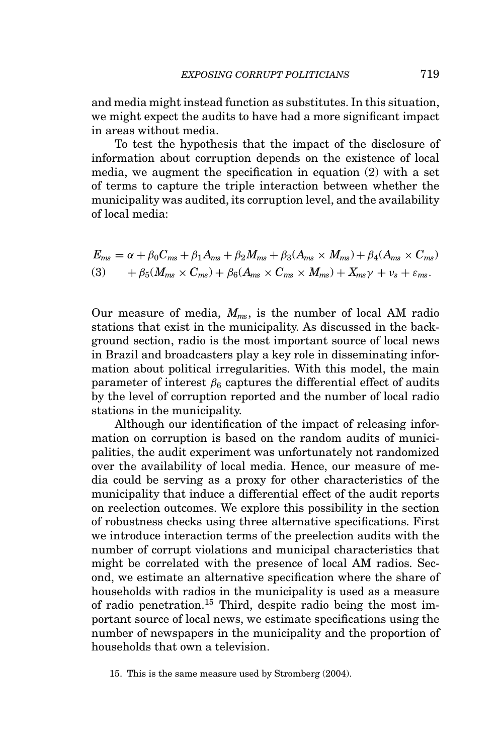and media might instead function as substitutes. In this situation, we might expect the audits to have had a more significant impact in areas without media.

To test the hypothesis that the impact of the disclosure of information about corruption depends on the existence of local media, we augment the specification in equation (2) with a set of terms to capture the triple interaction between whether the municipality was audited, its corruption level, and the availability of local media:

$$
E_{ms} = \alpha + \beta_0 C_{ms} + \beta_1 A_{ms} + \beta_2 M_{ms} + \beta_3 (A_{ms} \times M_{ms}) + \beta_4 (A_{ms} \times C_{ms})
$$
  
(3) 
$$
+ \beta_5 (M_{ms} \times C_{ms}) + \beta_6 (A_{ms} \times C_{ms} \times M_{ms}) + X_{ms} \gamma + \nu_s + \varepsilon_{ms}.
$$

Our measure of media, *Mms*, is the number of local AM radio stations that exist in the municipality. As discussed in the background section, radio is the most important source of local news in Brazil and broadcasters play a key role in disseminating information about political irregularities. With this model, the main parameter of interest  $\beta_6$  captures the differential effect of audits by the level of corruption reported and the number of local radio stations in the municipality.

Although our identification of the impact of releasing information on corruption is based on the random audits of municipalities, the audit experiment was unfortunately not randomized over the availability of local media. Hence, our measure of media could be serving as a proxy for other characteristics of the municipality that induce a differential effect of the audit reports on reelection outcomes. We explore this possibility in the section of robustness checks using three alternative specifications. First we introduce interaction terms of the preelection audits with the number of corrupt violations and municipal characteristics that might be correlated with the presence of local AM radios. Second, we estimate an alternative specification where the share of households with radios in the municipality is used as a measure of radio penetration.15 Third, despite radio being the most important source of local news, we estimate specifications using the number of newspapers in the municipality and the proportion of households that own a television.

<sup>15.</sup> This is the same measure used by Stromberg (2004).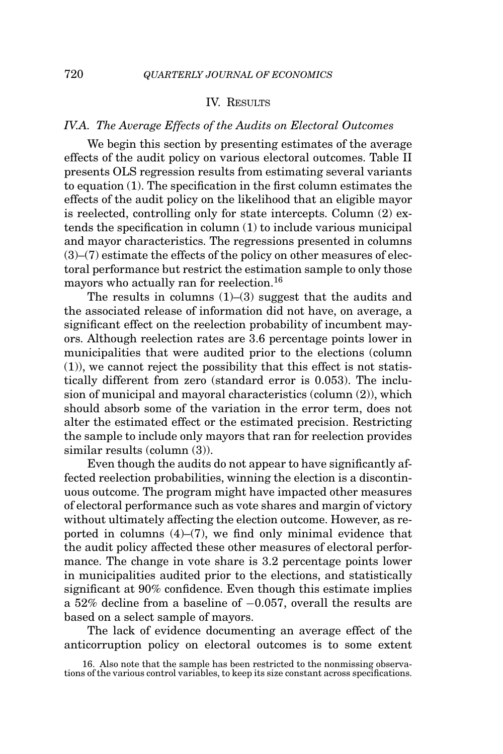### IV. RESULTS

### *IV.A. The Average Effects of the Audits on Electoral Outcomes*

We begin this section by presenting estimates of the average effects of the audit policy on various electoral outcomes. Table II presents OLS regression results from estimating several variants to equation (1). The specification in the first column estimates the effects of the audit policy on the likelihood that an eligible mayor is reelected, controlling only for state intercepts. Column (2) extends the specification in column (1) to include various municipal and mayor characteristics. The regressions presented in columns (3)–(7) estimate the effects of the policy on other measures of electoral performance but restrict the estimation sample to only those mayors who actually ran for reelection.<sup>16</sup>

The results in columns  $(1)$ – $(3)$  suggest that the audits and the associated release of information did not have, on average, a significant effect on the reelection probability of incumbent mayors. Although reelection rates are 3.6 percentage points lower in municipalities that were audited prior to the elections (column (1)), we cannot reject the possibility that this effect is not statistically different from zero (standard error is 0.053). The inclusion of municipal and mayoral characteristics (column (2)), which should absorb some of the variation in the error term, does not alter the estimated effect or the estimated precision. Restricting the sample to include only mayors that ran for reelection provides similar results (column (3)).

Even though the audits do not appear to have significantly affected reelection probabilities, winning the election is a discontinuous outcome. The program might have impacted other measures of electoral performance such as vote shares and margin of victory without ultimately affecting the election outcome. However, as reported in columns  $(4)$ – $(7)$ , we find only minimal evidence that the audit policy affected these other measures of electoral performance. The change in vote share is 3.2 percentage points lower in municipalities audited prior to the elections, and statistically significant at 90% confidence. Even though this estimate implies a 52% decline from a baseline of −0.057, overall the results are based on a select sample of mayors.

The lack of evidence documenting an average effect of the anticorruption policy on electoral outcomes is to some extent

<sup>16.</sup> Also note that the sample has been restricted to the nonmissing observations of the various control variables, to keep its size constant across specifications.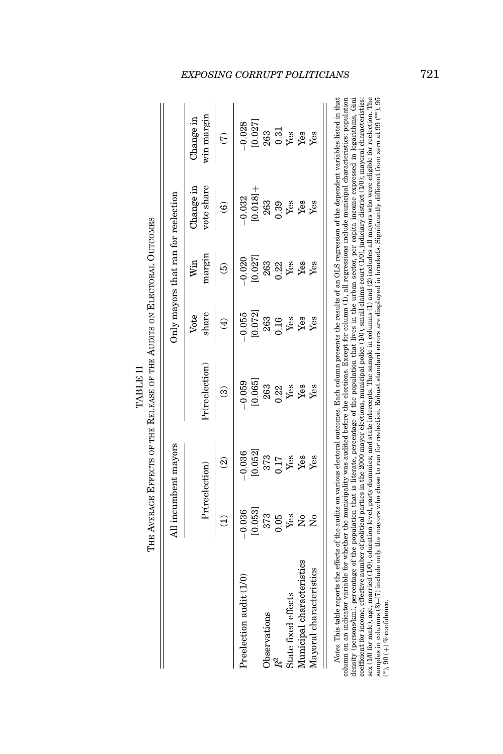|            | VERAGE EFFECTS OF THE KELEASE OF THE AUDITS ON ELECTORAL OUTCO |
|------------|----------------------------------------------------------------|
|            |                                                                |
|            |                                                                |
|            |                                                                |
| FT 4 TH TH |                                                                |
|            |                                                                |
|            |                                                                |
|            |                                                                |
|            |                                                                |
|            | i                                                              |

 $\omega$ 

|                           |                         | All incumbent mayors     |                         |               | Only mayors that ran for reelection |                         |                        |
|---------------------------|-------------------------|--------------------------|-------------------------|---------------|-------------------------------------|-------------------------|------------------------|
|                           |                         | Pr(reelection)           | $Pr(\text{reelectron})$ | share<br>Vote | nargin<br>Win                       | vote share<br>Change in | win margin<br>hange in |
|                           | Э                       | $\widehat{\mathfrak{D}}$ | ඔ                       | $\bigoplus$   | ම                                   | ම                       | G                      |
| Preelection audit (1/0)   | 0.036                   | $-0.036$                 | $-0.059$                | $-0.055$      | 0.020                               | 0.032                   | 0.028                  |
|                           | [0.053]                 | [0.052]                  | [0.065]                 | [0.072]       | [0.027]                             | $[0.018] +$             | [0.027]                |
| Observations              | 373                     | 373                      | 263                     | 263           | 263                                 | 263                     | 263                    |
| R <sup>2</sup>            | 0.05                    | 0.17                     | 0.22                    | 0.16          | 0.22                                | 0.39                    | 0.31                   |
| State fixed effects       | Yes                     | Yes                      | Yes                     | Yes           | Yes                                 | Yes                     | Yes                    |
| Municipal characteristics | $\tilde{\rm x}^{\rm o}$ | Yes                      | Yes                     | Yes           | Yes                                 | Yes                     | $\mathbf{Yes}$         |
| Mayoral characteristics   | $\tilde{\mathbf{z}}$    | Yes                      | Yes                     | Yes           | Yes                                 | Yes                     | Yes                    |

 $\ddot{a}$ column on an indicator variable for whether the municipality was audited before the elections. Except for column (1), all regressions include municipal characteristics: population<br>density (persons/km), percentage of the po coefficient for income, effective number of political parties in the 2000 mayor elections, municipal police (10), small claims court (1/0), judiciary district (1/0); mayoral characteristics:<br>sex (1/0 for male), age, marri samples in columns (3)–(7) include only the mayors who chose to run for reelection. Robust standard errors are displayed in brackets. Significantly different from zero at 99 (\*\*), 95 *Notes.* This table reports the effects of the audits on various electoral outcomes. Each column presents the results of an OLS regression of the dependent variables listed in that column on an indicator variable for whether the municipality was audited before the elections. Except for column (1), all regressions include municipal characteristics: population density (persons/km), percentage of the population that is literate, percentage of the population that lives in the urban sector, per capita income expressed in logarithms, Gini coefficient for income, effective number of political parties in the 2000 mayor elections, municipal police  $(10)$ , small claims court  $(10)$ , judiciary district  $(10)$ ; mayoral characteristics: sex (1/0 for male), age, married (1/0), education level, party dummies; and state intercepts. The sample in columns (1) and (2) includes all mayors who were eligible for reelection. The samples in columns (3)–(7) include only the mayors who chose to run for reelection. Robust standard errors are displayed in brackets. Significantly different from zero at 99 (\*\*), 95 (\*),  $90 (+)$  % confidence. (∗), 90 (+) % confidence.

# *EXPOSING CORRUPT POLITICIANS* 721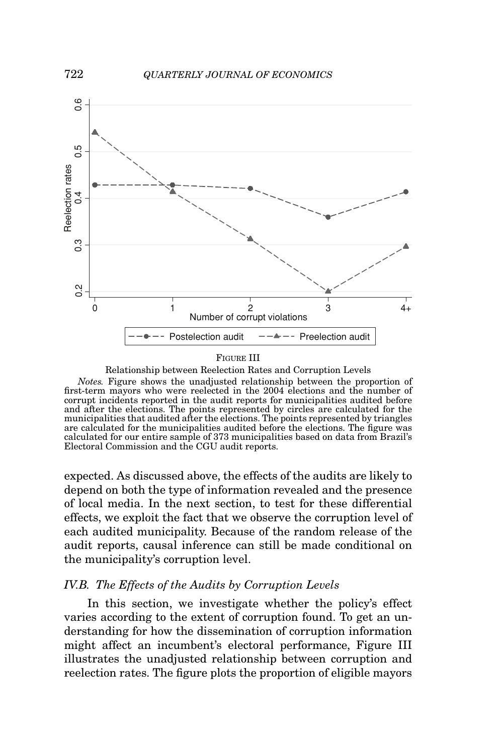

### FIGURE III

Relationship between Reelection Rates and Corruption Levels

*Notes.* Figure shows the unadjusted relationship between the proportion of first-term mayors who were reelected in the 2004 elections and the number of corrupt incidents reported in the audit reports for municipalities audited before and after the elections. The points represented by circles are calculated for the municipalities that audited after the elections. The points represented by triangles are calculated for the municipalities audited before the elections. The figure was calculated for our entire sample of 373 municipalities based on data from Brazil's Electoral Commission and the CGU audit reports.

expected. As discussed above, the effects of the audits are likely to depend on both the type of information revealed and the presence of local media. In the next section, to test for these differential effects, we exploit the fact that we observe the corruption level of each audited municipality. Because of the random release of the audit reports, causal inference can still be made conditional on the municipality's corruption level.

### *IV.B. The Effects of the Audits by Corruption Levels*

In this section, we investigate whether the policy's effect varies according to the extent of corruption found. To get an understanding for how the dissemination of corruption information might affect an incumbent's electoral performance, Figure III illustrates the unadjusted relationship between corruption and reelection rates. The figure plots the proportion of eligible mayors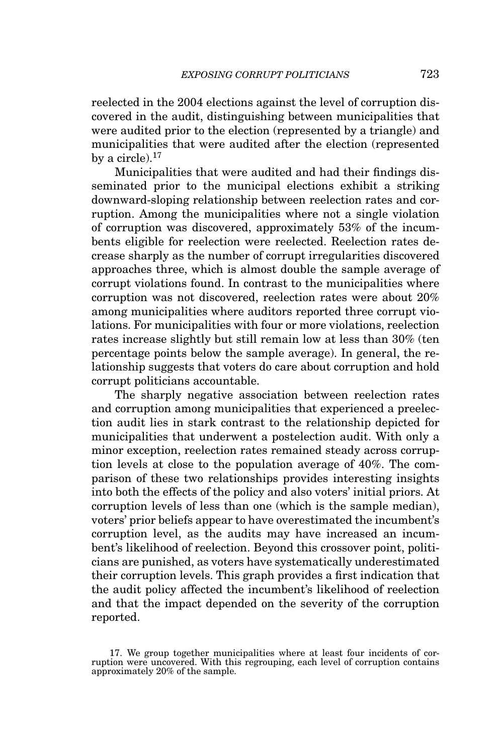reelected in the 2004 elections against the level of corruption discovered in the audit, distinguishing between municipalities that were audited prior to the election (represented by a triangle) and municipalities that were audited after the election (represented by a circle). $17$ 

Municipalities that were audited and had their findings disseminated prior to the municipal elections exhibit a striking downward-sloping relationship between reelection rates and corruption. Among the municipalities where not a single violation of corruption was discovered, approximately 53% of the incumbents eligible for reelection were reelected. Reelection rates decrease sharply as the number of corrupt irregularities discovered approaches three, which is almost double the sample average of corrupt violations found. In contrast to the municipalities where corruption was not discovered, reelection rates were about 20% among municipalities where auditors reported three corrupt violations. For municipalities with four or more violations, reelection rates increase slightly but still remain low at less than 30% (ten percentage points below the sample average). In general, the relationship suggests that voters do care about corruption and hold corrupt politicians accountable.

The sharply negative association between reelection rates and corruption among municipalities that experienced a preelection audit lies in stark contrast to the relationship depicted for municipalities that underwent a postelection audit. With only a minor exception, reelection rates remained steady across corruption levels at close to the population average of 40%. The comparison of these two relationships provides interesting insights into both the effects of the policy and also voters' initial priors. At corruption levels of less than one (which is the sample median), voters' prior beliefs appear to have overestimated the incumbent's corruption level, as the audits may have increased an incumbent's likelihood of reelection. Beyond this crossover point, politicians are punished, as voters have systematically underestimated their corruption levels. This graph provides a first indication that the audit policy affected the incumbent's likelihood of reelection and that the impact depended on the severity of the corruption reported.

<sup>17.</sup> We group together municipalities where at least four incidents of cor-ruption were uncovered. With this regrouping, each level of corruption contains approximately 20% of the sample.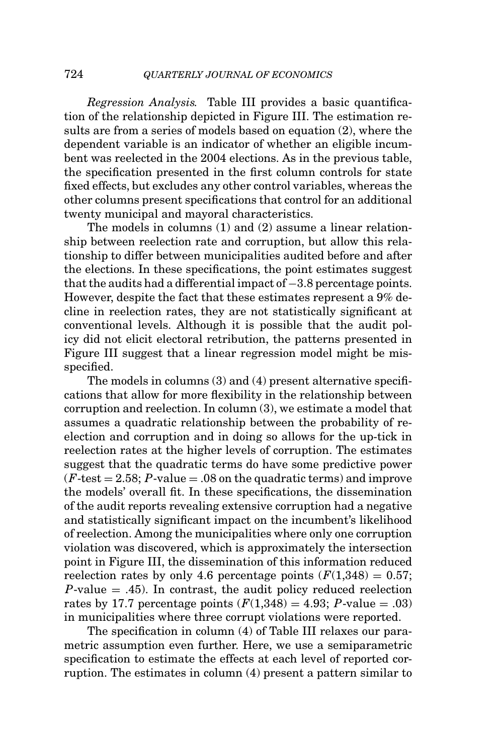*Regression Analysis.* Table III provides a basic quantification of the relationship depicted in Figure III. The estimation results are from a series of models based on equation (2), where the dependent variable is an indicator of whether an eligible incumbent was reelected in the 2004 elections. As in the previous table, the specification presented in the first column controls for state fixed effects, but excludes any other control variables, whereas the other columns present specifications that control for an additional twenty municipal and mayoral characteristics.

The models in columns (1) and (2) assume a linear relationship between reelection rate and corruption, but allow this relationship to differ between municipalities audited before and after the elections. In these specifications, the point estimates suggest that the audits had a differential impact of −3.8 percentage points. However, despite the fact that these estimates represent a 9% decline in reelection rates, they are not statistically significant at conventional levels. Although it is possible that the audit policy did not elicit electoral retribution, the patterns presented in Figure III suggest that a linear regression model might be misspecified.

The models in columns (3) and (4) present alternative specifications that allow for more flexibility in the relationship between corruption and reelection. In column (3), we estimate a model that assumes a quadratic relationship between the probability of reelection and corruption and in doing so allows for the up-tick in reelection rates at the higher levels of corruption. The estimates suggest that the quadratic terms do have some predictive power  $(F-test = 2.58; P-value = .08$  on the quadratic terms) and improve the models' overall fit. In these specifications, the dissemination of the audit reports revealing extensive corruption had a negative and statistically significant impact on the incumbent's likelihood of reelection. Among the municipalities where only one corruption violation was discovered, which is approximately the intersection point in Figure III, the dissemination of this information reduced reelection rates by only 4.6 percentage points  $(F(1,348) = 0.57;$  $P$ -value  $=$  .45). In contrast, the audit policy reduced reelection rates by 17.7 percentage points  $(F(1,348) = 4.93; P-value = .03)$ in municipalities where three corrupt violations were reported.

The specification in column (4) of Table III relaxes our parametric assumption even further. Here, we use a semiparametric specification to estimate the effects at each level of reported corruption. The estimates in column (4) present a pattern similar to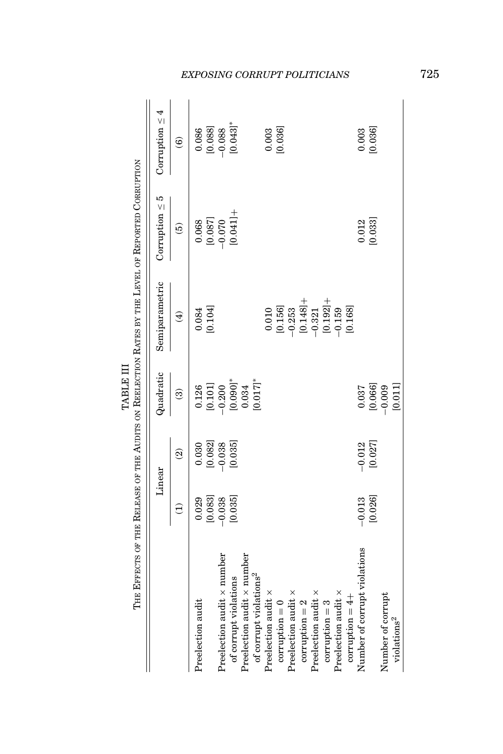|                                    |                 |                          | TABLE III              | THE EFFECTS OF THE RELEASE OF THE AUDITS ON REELECTION RATES BY THE LEVEL OF REPORTED CORRUPTION                      |                     |                                               |
|------------------------------------|-----------------|--------------------------|------------------------|-----------------------------------------------------------------------------------------------------------------------|---------------------|-----------------------------------------------|
|                                    |                 | Linear                   | Quadratic              | Semiparametric                                                                                                        | Corruption $\leq 5$ | Corruption $\leq 4$                           |
|                                    | $\widehat{\Xi}$ | $\widehat{\mathfrak{D}}$ | $\widehat{\mathbf{e}}$ | $\bigoplus$                                                                                                           | $\widehat{e}$       | $\widehat{\mathbf{e}}$                        |
| Preelection audit                  | 0.029           | 0.030                    | 0.126                  | 0.084                                                                                                                 | 0.068               | 0.086                                         |
|                                    | [0.083]         |                          |                        | [0.104]                                                                                                               |                     | [0.088]                                       |
| Preelection audit x number         | $-0.038$        | $[0.082]$<br>$-0.038$    | [0.101]                |                                                                                                                       | [0.087]             |                                               |
| of corrupt violations              | [0.035]         | [0.035]                  | $[0.090]$ *            |                                                                                                                       | $(0.041] +$         | $0.043$ <sup>*</sup>                          |
| Preelection audit x number         |                 |                          | 0.034                  |                                                                                                                       |                     |                                               |
| of corrupt violations <sup>2</sup> |                 |                          | $0.017$ ]*             |                                                                                                                       |                     |                                               |
| Preelection audit $\times$         |                 |                          |                        | 0.010                                                                                                                 |                     |                                               |
| $corruption = 0$                   |                 |                          |                        | [0.156]                                                                                                               |                     | $0.003$<br>[0.036]                            |
| Preelection audit $\times$         |                 |                          |                        |                                                                                                                       |                     |                                               |
| $corruption = 2$                   |                 |                          |                        | $\begin{array}{r} -0.253 \\[2pt] 10.148] + \\[2pt] -0.321 \\[2pt] 10.192] + \\[2pt] 0.159 \\[2pt] -0.159 \end{array}$ |                     |                                               |
| Preelection audit x                |                 |                          |                        |                                                                                                                       |                     |                                               |
| $corruption = 3$                   |                 |                          |                        |                                                                                                                       |                     |                                               |
| Preelection audit x                |                 |                          |                        |                                                                                                                       |                     |                                               |
| corruption $= 4+$                  |                 |                          |                        | [0.168]                                                                                                               |                     |                                               |
| Number of corrupt violations       | $-0.013$        | $-0.012$                 | 0.037                  |                                                                                                                       | 0.012               | $\begin{array}{c} 0.003 \\ 0.036 \end{array}$ |
|                                    | [0.026]         | [0.027]                  | [0.066]                |                                                                                                                       | [0.033]             |                                               |
| Number of corrupt                  |                 |                          | $-0.009$               |                                                                                                                       |                     |                                               |
| violations <sup>2</sup>            |                 |                          | [0.011]                |                                                                                                                       |                     |                                               |

# *EXPOSING CORRUPT POLITICIANS* 725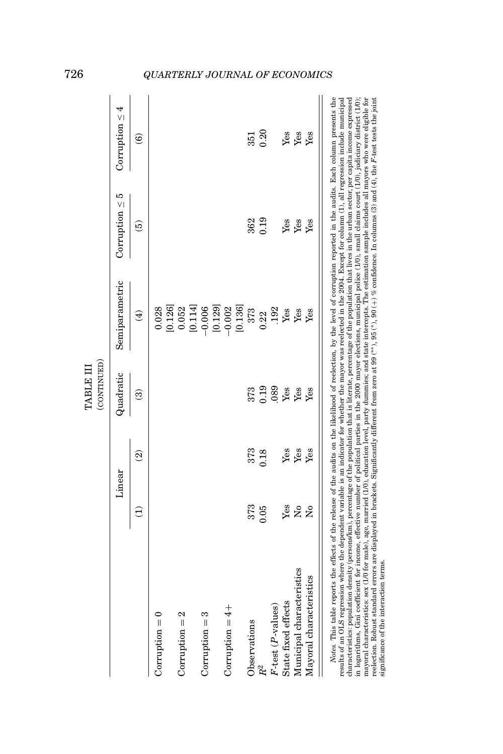|                                                                                                                                                                                                                                                                                                                                                                                                                                                                                                                                                                                                                                                                                                                                                                                                                                                                                                                                                                                                                                                                                                                                                                                                             |                         |                          | (CONTINUED) |                        |                     |                        |
|-------------------------------------------------------------------------------------------------------------------------------------------------------------------------------------------------------------------------------------------------------------------------------------------------------------------------------------------------------------------------------------------------------------------------------------------------------------------------------------------------------------------------------------------------------------------------------------------------------------------------------------------------------------------------------------------------------------------------------------------------------------------------------------------------------------------------------------------------------------------------------------------------------------------------------------------------------------------------------------------------------------------------------------------------------------------------------------------------------------------------------------------------------------------------------------------------------------|-------------------------|--------------------------|-------------|------------------------|---------------------|------------------------|
|                                                                                                                                                                                                                                                                                                                                                                                                                                                                                                                                                                                                                                                                                                                                                                                                                                                                                                                                                                                                                                                                                                                                                                                                             |                         | Linear                   | Quadratic   | Semiparametric         | Corruption $\leq 5$ | Corruption $\leq 4$    |
|                                                                                                                                                                                                                                                                                                                                                                                                                                                                                                                                                                                                                                                                                                                                                                                                                                                                                                                                                                                                                                                                                                                                                                                                             | Э                       | $\widehat{\mathfrak{D}}$ | ල           | $\widehat{\mathbf{t}}$ | $\widehat{e}$       | $\widehat{\mathbf{e}}$ |
| $Corruption = 0$                                                                                                                                                                                                                                                                                                                                                                                                                                                                                                                                                                                                                                                                                                                                                                                                                                                                                                                                                                                                                                                                                                                                                                                            |                         |                          |             | 0.028                  |                     |                        |
|                                                                                                                                                                                                                                                                                                                                                                                                                                                                                                                                                                                                                                                                                                                                                                                                                                                                                                                                                                                                                                                                                                                                                                                                             |                         |                          |             | [0.126]                |                     |                        |
| Corruption $= 2$                                                                                                                                                                                                                                                                                                                                                                                                                                                                                                                                                                                                                                                                                                                                                                                                                                                                                                                                                                                                                                                                                                                                                                                            |                         |                          |             | 0.052                  |                     |                        |
|                                                                                                                                                                                                                                                                                                                                                                                                                                                                                                                                                                                                                                                                                                                                                                                                                                                                                                                                                                                                                                                                                                                                                                                                             |                         |                          |             | [0.114]                |                     |                        |
| $Corruption = 3$                                                                                                                                                                                                                                                                                                                                                                                                                                                                                                                                                                                                                                                                                                                                                                                                                                                                                                                                                                                                                                                                                                                                                                                            |                         |                          |             | $-0.006$               |                     |                        |
|                                                                                                                                                                                                                                                                                                                                                                                                                                                                                                                                                                                                                                                                                                                                                                                                                                                                                                                                                                                                                                                                                                                                                                                                             |                         |                          |             | [0.129]                |                     |                        |
| Corruption $= 4 +$                                                                                                                                                                                                                                                                                                                                                                                                                                                                                                                                                                                                                                                                                                                                                                                                                                                                                                                                                                                                                                                                                                                                                                                          |                         |                          |             | $-0.002$               |                     |                        |
|                                                                                                                                                                                                                                                                                                                                                                                                                                                                                                                                                                                                                                                                                                                                                                                                                                                                                                                                                                                                                                                                                                                                                                                                             |                         |                          |             | [0.136]                |                     |                        |
| Observations                                                                                                                                                                                                                                                                                                                                                                                                                                                                                                                                                                                                                                                                                                                                                                                                                                                                                                                                                                                                                                                                                                                                                                                                | 373                     | 373                      | 373         | 373                    | 362                 | 351                    |
| $R^2$                                                                                                                                                                                                                                                                                                                                                                                                                                                                                                                                                                                                                                                                                                                                                                                                                                                                                                                                                                                                                                                                                                                                                                                                       | 0.05                    | 0.18                     | 0.19        | 0.22                   | 0.19                | 0.20                   |
| $F$ -test ( $P$ -values)                                                                                                                                                                                                                                                                                                                                                                                                                                                                                                                                                                                                                                                                                                                                                                                                                                                                                                                                                                                                                                                                                                                                                                                    |                         |                          | 089         | 192                    |                     |                        |
| State fixed effects                                                                                                                                                                                                                                                                                                                                                                                                                                                                                                                                                                                                                                                                                                                                                                                                                                                                                                                                                                                                                                                                                                                                                                                         | Yes                     | Yes                      | Yes         | Yes                    | Yes                 | Yes                    |
| Municipal characteristics                                                                                                                                                                                                                                                                                                                                                                                                                                                                                                                                                                                                                                                                                                                                                                                                                                                                                                                                                                                                                                                                                                                                                                                   | $\overline{\mathsf{x}}$ | Yes                      | Yes         | Yes                    | $\mathbf{Yes}$      | Yes                    |
| Mayoral characteristics                                                                                                                                                                                                                                                                                                                                                                                                                                                                                                                                                                                                                                                                                                                                                                                                                                                                                                                                                                                                                                                                                                                                                                                     | $\tilde{\mathbf{z}}$    | Yes                      | Yes         | Yes                    | Yes                 | Yes                    |
| Notes. This table reports the effects of the release of the audits on the likelihood of reelection, by the level of corruption reported in the audits. Bach column presents the<br>mayoral characteristics: sex (1/0 for male), age, married (1/0), education level, party dummies; and state intercepts. The estimation sample includes all mayors who were eligible for<br>results of an OLS regression where the dependent variable is an indicator for whether the mayor was reelected in the 2004. Except for column (1), all regression include municipal<br>characteristics: population density (persons/km), percentage of the population that is literate, percentage of the population that lives in the urban sector, per capita income expressed<br>in logarithms, Gini coefficient for income, effective number of political parties in the 2000 mayor elections, municipal police $(1/0)$ , small claims court $(1/0)$ , judiciary district $(1/0)$ ;<br>reelection. Robust standard errors are displayed in brackets. Significantly different from zero at 99 (**), 96 (*), 90 (+) % confidence. In columns (3) and (4), the F-test tests the joint<br>significance of the interaction terms |                         |                          |             |                        |                     |                        |

726 *QUARTERLY JOURNAL OF ECONOMICS*

TABLE III

TABLE III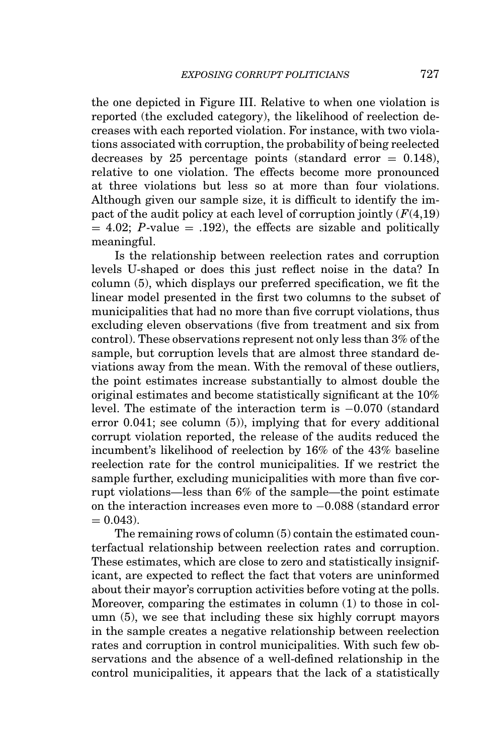the one depicted in Figure III. Relative to when one violation is reported (the excluded category), the likelihood of reelection decreases with each reported violation. For instance, with two violations associated with corruption, the probability of being reelected decreases by 25 percentage points (standard error  $= 0.148$ ), relative to one violation. The effects become more pronounced at three violations but less so at more than four violations. Although given our sample size, it is difficult to identify the impact of the audit policy at each level of corruption jointly  $(F(4,19))$  $= 4.02$ ; *P*-value  $= .192$ ), the effects are sizable and politically meaningful.

Is the relationship between reelection rates and corruption levels U-shaped or does this just reflect noise in the data? In column (5), which displays our preferred specification, we fit the linear model presented in the first two columns to the subset of municipalities that had no more than five corrupt violations, thus excluding eleven observations (five from treatment and six from control). These observations represent not only less than 3% of the sample, but corruption levels that are almost three standard deviations away from the mean. With the removal of these outliers, the point estimates increase substantially to almost double the original estimates and become statistically significant at the 10% level. The estimate of the interaction term is −0.070 (standard error 0.041; see column (5)), implying that for every additional corrupt violation reported, the release of the audits reduced the incumbent's likelihood of reelection by 16% of the 43% baseline reelection rate for the control municipalities. If we restrict the sample further, excluding municipalities with more than five corrupt violations—less than 6% of the sample—the point estimate on the interaction increases even more to −0.088 (standard error  $= 0.043$ .

The remaining rows of column (5) contain the estimated counterfactual relationship between reelection rates and corruption. These estimates, which are close to zero and statistically insignificant, are expected to reflect the fact that voters are uninformed about their mayor's corruption activities before voting at the polls. Moreover, comparing the estimates in column (1) to those in column (5), we see that including these six highly corrupt mayors in the sample creates a negative relationship between reelection rates and corruption in control municipalities. With such few observations and the absence of a well-defined relationship in the control municipalities, it appears that the lack of a statistically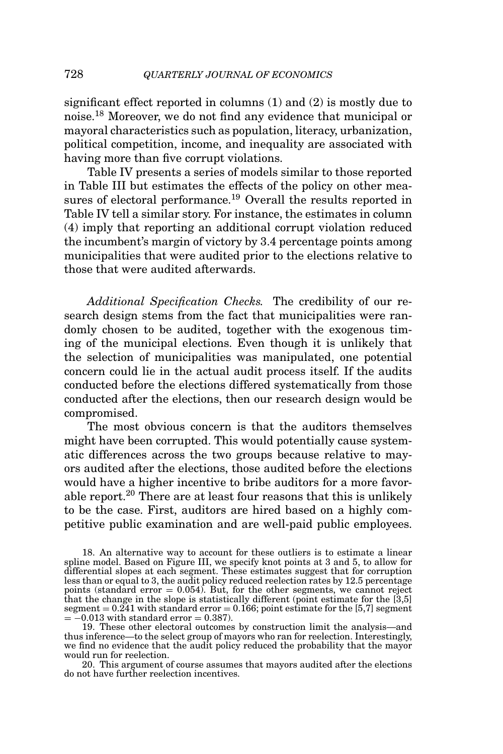significant effect reported in columns (1) and (2) is mostly due to noise.<sup>18</sup> Moreover, we do not find any evidence that municipal or mayoral characteristics such as population, literacy, urbanization, political competition, income, and inequality are associated with having more than five corrupt violations.

Table IV presents a series of models similar to those reported in Table III but estimates the effects of the policy on other measures of electoral performance.<sup>19</sup> Overall the results reported in Table IV tell a similar story. For instance, the estimates in column (4) imply that reporting an additional corrupt violation reduced the incumbent's margin of victory by 3.4 percentage points among municipalities that were audited prior to the elections relative to those that were audited afterwards.

*Additional Specification Checks.* The credibility of our research design stems from the fact that municipalities were randomly chosen to be audited, together with the exogenous timing of the municipal elections. Even though it is unlikely that the selection of municipalities was manipulated, one potential concern could lie in the actual audit process itself. If the audits conducted before the elections differed systematically from those conducted after the elections, then our research design would be compromised.

The most obvious concern is that the auditors themselves might have been corrupted. This would potentially cause systematic differences across the two groups because relative to mayors audited after the elections, those audited before the elections would have a higher incentive to bribe auditors for a more favorable report.<sup>20</sup> There are at least four reasons that this is unlikely to be the case. First, auditors are hired based on a highly competitive public examination and are well-paid public employees.

20. This argument of course assumes that mayors audited after the elections do not have further reelection incentives.

<sup>18.</sup> An alternative way to account for these outliers is to estimate a linear spline model. Based on Figure III, we specify knot points at 3 and 5, to allow for differential slopes at each segment. These estimates suggest that for corruption less than or equal to 3, the audit policy reduced reelection rates by  $12.5$  percentage<br>points (standard error =  $0.054$ ). But, for the other segments, we cannot reject<br>that the change in the slope is statistically differ segment = 0.241 with standard error = 0.166; point estimate for the [5,7] segment = −0.013 with standard error = 0.387).

<sup>19.</sup> These other electoral outcomes by construction limit the analysis—and thus inference—to the select group of mayors who ran for reelection. Interestingly, we find no evidence that the audit policy reduced the probability that the mayor would run for reelection.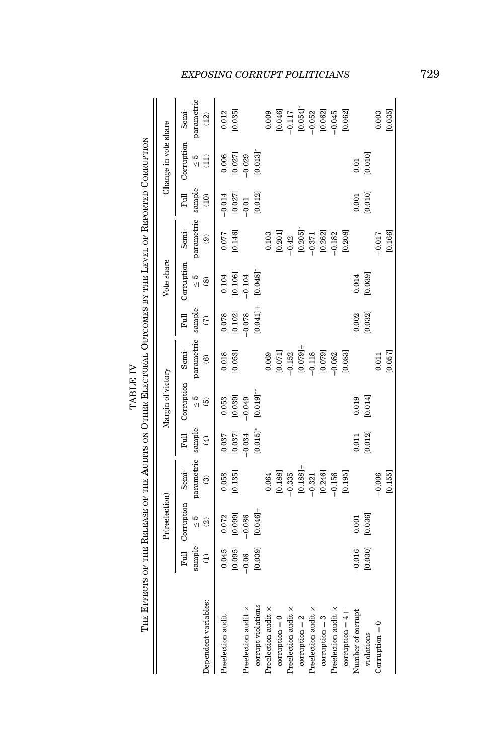| The Effects of the Release of the Audits on Other Electoral Outcomes by the Level of Reported Corruption |                           |                                                              |                                       |                               |                                              |                                               |                                        |                                              |                                               |                        |                                                                       |                                        |
|----------------------------------------------------------------------------------------------------------|---------------------------|--------------------------------------------------------------|---------------------------------------|-------------------------------|----------------------------------------------|-----------------------------------------------|----------------------------------------|----------------------------------------------|-----------------------------------------------|------------------------|-----------------------------------------------------------------------|----------------------------------------|
|                                                                                                          |                           | Pr(reelection)                                               |                                       |                               | Margin of victory                            |                                               |                                        | Vote share                                   |                                               |                        | Change in vote share                                                  |                                        |
| Dependent variables:                                                                                     | sample<br>$\widehat{\Xi}$ | Full Corruption Semi-<br>$\frac{5}{2}$<br>$\widehat{\omega}$ | parametric<br>$\widehat{\mathcal{C}}$ | sample<br>Full<br>$\bigoplus$ | Corruption<br>$\frac{5}{2}$<br>$\widehat{5}$ | parametric<br>Semi-<br>$\widehat{\mathbf{e}}$ | sample<br>Full<br>$\widehat{\epsilon}$ | Corruption<br>$\frac{5}{2}$<br>$\circledast$ | parametric<br>Semi-<br>$\widehat{\mathbf{e}}$ | sample<br>Full<br>(10) | Corruption<br>$\frac{5}{2}$<br>$\begin{pmatrix} 1 \\ 2 \end{pmatrix}$ | parametric<br>Semi-<br>$\widetilde{2}$ |
| Preelection audit                                                                                        | [0.095]<br>0.045          | [0.099]<br>0.072                                             | [0.135]<br>0.058                      | [0.037]<br>0.037              | [0.039]<br>0.053                             | [0.053]<br>0.018                              | [0.102]<br>0.078                       | [0.106]<br>0.104                             | [0.146]<br>0.077                              | [0.027]<br>$-0.014$    | [0.027]<br>0.006                                                      | 0.012<br>[0.035]                       |
| corrupt violations<br>Preelection audit x                                                                | [0.039]<br>$-0.06$        | $[0.046] +$<br>$-0.086$                                      |                                       | $[0.015]$ *<br>$-0.034$       | $[0.019]$ **<br>$-0.049$                     |                                               | $0.041] +$<br>$-0.078$                 | [0.048]<br>$-0.104$                          |                                               | [0.012]<br>$-0.01$     | [0.013]<br>$-0.029$                                                   |                                        |
| Preelection audit x                                                                                      |                           |                                                              | 0.064                                 |                               |                                              | 0.069                                         |                                        |                                              | 0.103                                         |                        |                                                                       | 0.009                                  |
| $corruption = 0$                                                                                         |                           |                                                              | [0.188]                               |                               |                                              | [0.071]                                       |                                        |                                              | [0.201]                                       |                        |                                                                       | [0.046]                                |
| Preelection audit x                                                                                      |                           |                                                              | $-0.335$                              |                               |                                              | $-0.152$                                      |                                        |                                              | $-0.42$                                       |                        |                                                                       | $-0.117$                               |
| $corruption = 2$                                                                                         |                           |                                                              | $[0.188] +$                           |                               |                                              | $[0.079] +$                                   |                                        |                                              | [0.205]                                       |                        |                                                                       | [0.054]                                |
| Preelection audit x                                                                                      |                           |                                                              | $-0.321$                              |                               |                                              | $-0.118$                                      |                                        |                                              | $-0.371$                                      |                        |                                                                       | $-0.052$                               |
| $corruption = 3$                                                                                         |                           |                                                              | [0.246]                               |                               |                                              | [0.079]                                       |                                        |                                              | [0.262]                                       |                        |                                                                       | [0.062]                                |
| Preelection audit $\times$                                                                               |                           |                                                              | $-0.156$                              |                               |                                              | $-0.082$                                      |                                        |                                              | $-0.182$                                      |                        |                                                                       | $-0.045$                               |
| corruption $= 4 +$                                                                                       |                           |                                                              | [0.195]                               |                               |                                              | [0.083]                                       |                                        |                                              | [0.208]                                       |                        |                                                                       | [0.062]                                |
| Number of corrupt                                                                                        | $-0.016$                  | 0.001                                                        |                                       | 0.011                         | 0.019                                        |                                               | $-0.002$                               | 0.014                                        |                                               | $-0.001$               | 0.01                                                                  |                                        |
| violations                                                                                               | [0.030]                   | [0.036]                                                      |                                       | [0.012]                       | [0.014]                                      |                                               | [0.032]                                | [0.039]                                      |                                               | [0.010]                | [0.010]                                                               |                                        |
| $Corruption = 0$                                                                                         |                           |                                                              | $-0.006$                              |                               |                                              | 0.011                                         |                                        |                                              | $-0.017$                                      |                        |                                                                       | 0.003                                  |
|                                                                                                          |                           |                                                              | [0.155]                               |                               |                                              | [0.057]                                       |                                        |                                              | [0.166]                                       |                        |                                                                       | [0.035]                                |

# TABLE IV TABLE IV

*EXPOSING CORRUPT POLITICIANS* 729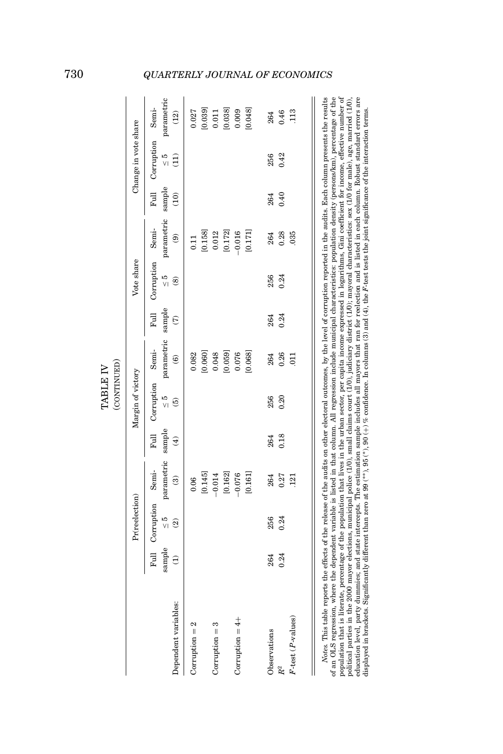|                                                                                                                                                                                                                                                                                                                                                                                                                                                                                                                                                                                                                                                                                                                                                                                                                                                                                                                                                                                                                                                                                                                                                     |                            |                                  |                         |                         | (CONTINUED)<br>TABLE IV           |                                 |                |                             |                                |      |                             |                            |
|-----------------------------------------------------------------------------------------------------------------------------------------------------------------------------------------------------------------------------------------------------------------------------------------------------------------------------------------------------------------------------------------------------------------------------------------------------------------------------------------------------------------------------------------------------------------------------------------------------------------------------------------------------------------------------------------------------------------------------------------------------------------------------------------------------------------------------------------------------------------------------------------------------------------------------------------------------------------------------------------------------------------------------------------------------------------------------------------------------------------------------------------------------|----------------------------|----------------------------------|-------------------------|-------------------------|-----------------------------------|---------------------------------|----------------|-----------------------------|--------------------------------|------|-----------------------------|----------------------------|
|                                                                                                                                                                                                                                                                                                                                                                                                                                                                                                                                                                                                                                                                                                                                                                                                                                                                                                                                                                                                                                                                                                                                                     |                            | Pr(reelection)                   |                         |                         | Margin of victory                 |                                 |                | Vote share                  |                                |      | Change in vote share        |                            |
|                                                                                                                                                                                                                                                                                                                                                                                                                                                                                                                                                                                                                                                                                                                                                                                                                                                                                                                                                                                                                                                                                                                                                     | $\mathop{\mathrm{sample}}$ | Full Corruption<br>$\frac{5}{2}$ | parametric<br>Semi-     | sample                  | Full Corruption<br>$\frac{5}{10}$ | parametric<br>Semi-             | sample<br>Full | Corruption<br>$\frac{5}{2}$ | parametric sample<br>Semi-     | Full | Corruption<br>$\frac{5}{2}$ | parametric<br>Semi-        |
| Dependent variables:<br>$Corruption = 2$                                                                                                                                                                                                                                                                                                                                                                                                                                                                                                                                                                                                                                                                                                                                                                                                                                                                                                                                                                                                                                                                                                            | $\widehat{\Xi}$            | $\widehat{\mathfrak{D}}$         | $\widehat{\mathcal{C}}$ | $\widehat{\mathcal{F}}$ | $\widehat{5}$                     | 0.082<br>$\widehat{\mathbf{e}}$ | $\widehat{c}$  | $\circledast$               | $\widehat{\mathbf{e}}$<br>0.11 | (10) | $\widehat{\Xi}$             | 0.027<br>$\left(12\right)$ |
|                                                                                                                                                                                                                                                                                                                                                                                                                                                                                                                                                                                                                                                                                                                                                                                                                                                                                                                                                                                                                                                                                                                                                     |                            |                                  | [0.145]<br>0.06         |                         |                                   | [0.060]                         |                |                             | [0.158]                        |      |                             | [0.039]                    |
| $Corruption = 3$                                                                                                                                                                                                                                                                                                                                                                                                                                                                                                                                                                                                                                                                                                                                                                                                                                                                                                                                                                                                                                                                                                                                    |                            |                                  | [0.162]<br>$-0.014$     |                         |                                   | [0.059]<br>0.048                |                |                             | [0.172]<br>0.012               |      |                             | [0.038]<br>0.011           |
| Corruption $= 4 +$                                                                                                                                                                                                                                                                                                                                                                                                                                                                                                                                                                                                                                                                                                                                                                                                                                                                                                                                                                                                                                                                                                                                  |                            |                                  | $-0.076$                |                         |                                   | 0.076                           |                |                             | $-0.016$                       |      |                             | 0.009                      |
|                                                                                                                                                                                                                                                                                                                                                                                                                                                                                                                                                                                                                                                                                                                                                                                                                                                                                                                                                                                                                                                                                                                                                     |                            |                                  | [0.161]                 |                         |                                   | [0.068]                         |                |                             | [0.171]                        |      |                             | [0.048]                    |
| Observations                                                                                                                                                                                                                                                                                                                                                                                                                                                                                                                                                                                                                                                                                                                                                                                                                                                                                                                                                                                                                                                                                                                                        | 264                        | 256                              | 264                     | 264                     | 256                               | 264                             | 264            | 256                         | 264                            | 264  | 256                         | 264                        |
| $R^2$                                                                                                                                                                                                                                                                                                                                                                                                                                                                                                                                                                                                                                                                                                                                                                                                                                                                                                                                                                                                                                                                                                                                               | 0.24                       | 0.24                             | 0.27                    | 0.18                    | 0.20                              | 0.26                            | 0.24           | 0.24                        | 0.28                           | 0.40 | 0.42                        | 0.46                       |
| $F$ -test ( $P$ -values)                                                                                                                                                                                                                                                                                                                                                                                                                                                                                                                                                                                                                                                                                                                                                                                                                                                                                                                                                                                                                                                                                                                            |                            |                                  | 121                     |                         |                                   | $\overline{5}$                  |                |                             | 035                            |      |                             | 113                        |
| population that is literate, percentage of the population that lives in the urban sector, per capita income expressed in logarithms, Gini coefficient for income, effective number of<br>of an OLS regression, where the dependent variable is listed in that column. All regression include municipal characteristics: population density (persons/km), percentage of the<br>Notes. This table reports the effects of the release of the audits on other electoral outcomes, by the level of corruption reported in the audits. Each column presents the results<br>education level, party dummies; and state intercepts. The estimation sample includes all mayors that ran for reelection and is listed in each column. Robust standard errors are<br>political parties in the 2000 mayor elections, municipal police (1/0), small claims court (1/0), judiciary district (1/0), mayoral characteristics: sex (1/0 for male), age, married (1/0),<br>displayed in brackets. Significantly different than zero at 99 (**), 95 (*), 90 (+) % confidence. In columns (3) and (4), the F-test tests the joint significance of the interaction terms. |                            |                                  |                         |                         |                                   |                                 |                |                             |                                |      |                             |                            |

# 730 *QUARTERLY JOURNAL OF ECONOMICS*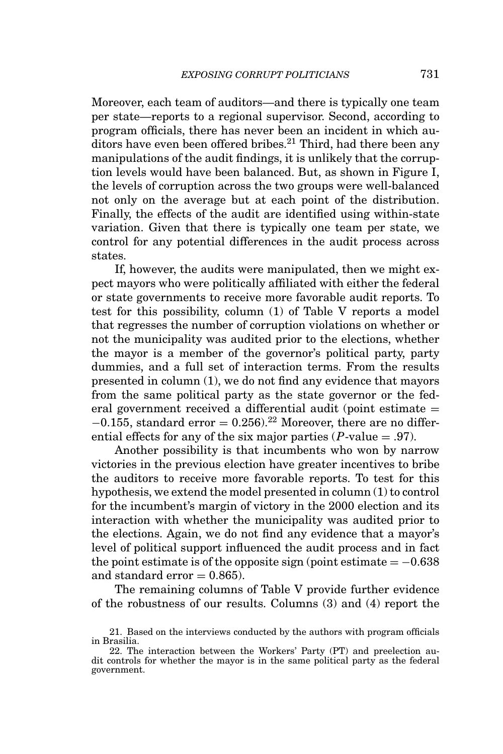Moreover, each team of auditors—and there is typically one team per state—reports to a regional supervisor. Second, according to program officials, there has never been an incident in which auditors have even been offered bribes.<sup>21</sup> Third, had there been any manipulations of the audit findings, it is unlikely that the corruption levels would have been balanced. But, as shown in Figure I, the levels of corruption across the two groups were well-balanced not only on the average but at each point of the distribution. Finally, the effects of the audit are identified using within-state variation. Given that there is typically one team per state, we control for any potential differences in the audit process across states.

If, however, the audits were manipulated, then we might expect mayors who were politically affiliated with either the federal or state governments to receive more favorable audit reports. To test for this possibility, column (1) of Table V reports a model that regresses the number of corruption violations on whether or not the municipality was audited prior to the elections, whether the mayor is a member of the governor's political party, party dummies, and a full set of interaction terms. From the results presented in column (1), we do not find any evidence that mayors from the same political party as the state governor or the federal government received a differential audit (point estimate  $=$  $-0.155$ , standard error = 0.256).<sup>22</sup> Moreover, there are no differential effects for any of the six major parties  $(P$ -value = .97).

Another possibility is that incumbents who won by narrow victories in the previous election have greater incentives to bribe the auditors to receive more favorable reports. To test for this hypothesis, we extend the model presented in column (1) to control for the incumbent's margin of victory in the 2000 election and its interaction with whether the municipality was audited prior to the elections. Again, we do not find any evidence that a mayor's level of political support influenced the audit process and in fact the point estimate is of the opposite sign (point estimate  $= -0.638$ ) and standard  $error = 0.865$ ).

The remaining columns of Table V provide further evidence of the robustness of our results. Columns (3) and (4) report the

<sup>21.</sup> Based on the interviews conducted by the authors with program officials in Brasilia.

<sup>22.</sup> The interaction between the Workers' Party (PT) and preelection audit controls for whether the mayor is in the same political party as the federal government.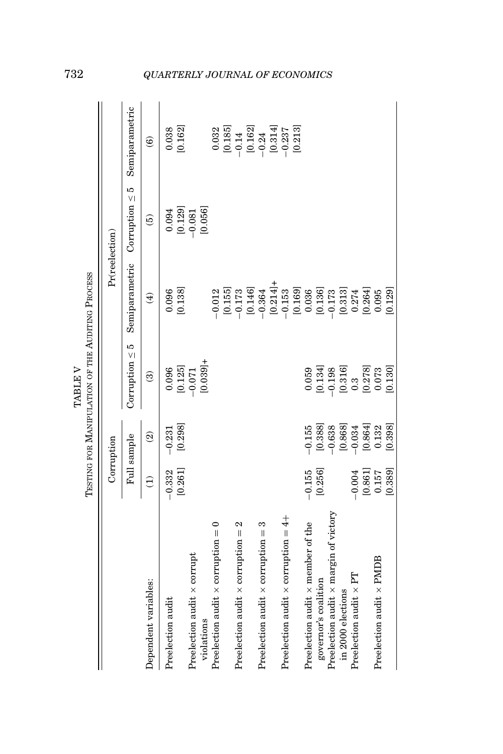|                                              |                                                 |                                                                                 | TESTING FOR MANIPULATION OF THE AUDITING PROCESS<br><b>TABLE V</b>         |                      |                                                                    |                                                                                                                                      |
|----------------------------------------------|-------------------------------------------------|---------------------------------------------------------------------------------|----------------------------------------------------------------------------|----------------------|--------------------------------------------------------------------|--------------------------------------------------------------------------------------------------------------------------------------|
|                                              |                                                 | Corruption                                                                      |                                                                            | Pr(reelection)       |                                                                    |                                                                                                                                      |
|                                              |                                                 | Full sample                                                                     | Corruption $\leq 5$                                                        | Semiparametric       | Corruption $\leq 5$                                                | Semiparametric                                                                                                                       |
| Dependent variables:                         | Ê                                               | $\widehat{\mathfrak{D}}$                                                        | $\widehat{\mathbf{e}}$                                                     | $\widehat{E}$        | $\widetilde{5}$                                                    | $\widehat{\mathbf{e}}$                                                                                                               |
| Preelection audit                            | [0.261]<br>$-0.332$                             | [0.298]<br>$-0.231$                                                             | [0.125]<br>0.096                                                           | [0.138]<br>0.096     | 0.094                                                              | [0.162]<br>0.038                                                                                                                     |
| Preelection audit x corrupt                  |                                                 |                                                                                 | $-0.071$                                                                   |                      | $\begin{array}{c} [0.129] \\ -0.081 \\ \hline 10.056] \end{array}$ |                                                                                                                                      |
| violations                                   |                                                 |                                                                                 | $[0.039] +$                                                                |                      |                                                                    |                                                                                                                                      |
| Preelection audit $\times$ corruption = 0    |                                                 |                                                                                 |                                                                            | $-0.012$             |                                                                    |                                                                                                                                      |
|                                              |                                                 |                                                                                 |                                                                            |                      |                                                                    | $\begin{array}{c} 0.032 \\ 0.185 \\ -0.14 \\ 0.162 \\ 0.031 \\ -0.24 \\ -0.237 \\ -0.237 \\ 0.014 \\ 0.031 \\ +0.233 \\ \end{array}$ |
| Preelection audit $\times$ corruption = 2    |                                                 |                                                                                 |                                                                            |                      |                                                                    |                                                                                                                                      |
|                                              |                                                 |                                                                                 |                                                                            |                      |                                                                    |                                                                                                                                      |
| Preelection audit $\times$ corruption = 3    |                                                 |                                                                                 |                                                                            |                      |                                                                    |                                                                                                                                      |
|                                              |                                                 |                                                                                 |                                                                            |                      |                                                                    |                                                                                                                                      |
| Preelection audit $\times$ corruption = 4+   |                                                 |                                                                                 |                                                                            |                      |                                                                    |                                                                                                                                      |
|                                              |                                                 |                                                                                 |                                                                            |                      |                                                                    |                                                                                                                                      |
| Preelection audit x member of the            | $-0.155$                                        | $-0.155$                                                                        | 0.059                                                                      |                      |                                                                    |                                                                                                                                      |
| governor's coalition                         | [0.256]                                         | [0.388]                                                                         | [0.134]                                                                    |                      |                                                                    |                                                                                                                                      |
| Preelection audit $\times$ margin of victory |                                                 |                                                                                 |                                                                            |                      |                                                                    |                                                                                                                                      |
| in 2000 elections                            |                                                 | $\begin{array}{r} -0.638 \\ 0.868 \\ -0.034 \\ 0.8641 \\ 0.8641 \\ \end{array}$ | $-0.198$<br>$\begin{bmatrix} 0.316 \\ 0.3 \\ 0.278 \\ 0.073 \end{bmatrix}$ |                      |                                                                    |                                                                                                                                      |
| Preelection audit $\times$ PT                | $-0.004$                                        |                                                                                 |                                                                            |                      |                                                                    |                                                                                                                                      |
|                                              | $\begin{array}{c} [0.861] \\ 0.157 \end{array}$ |                                                                                 |                                                                            | $[0.264]$<br>$0.095$ |                                                                    |                                                                                                                                      |
| Preelection audit $\times$ PMDB              |                                                 |                                                                                 |                                                                            |                      |                                                                    |                                                                                                                                      |
|                                              | [0.389]                                         | [0.398]                                                                         | [0.130]                                                                    | [0.129]              |                                                                    |                                                                                                                                      |

# 732 *QUARTERLY JOURNAL OF ECONOMICS*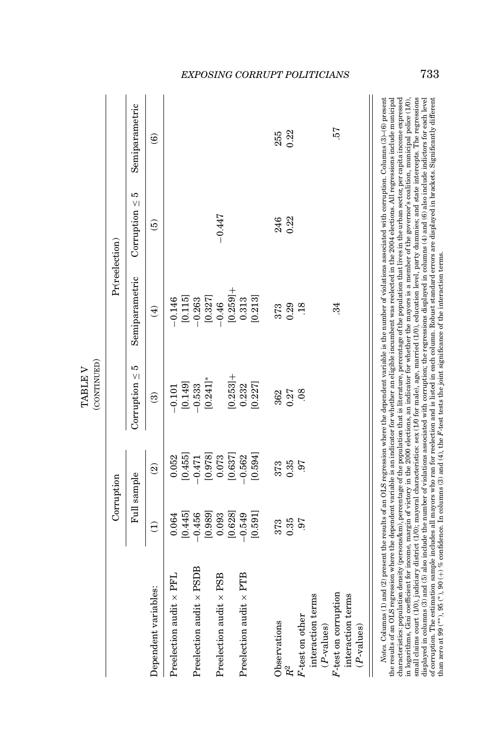|                                |                 | Corruption               |                        |                     | Pr(reelection)      |                        |
|--------------------------------|-----------------|--------------------------|------------------------|---------------------|---------------------|------------------------|
|                                |                 | Full sample              | Corruption $\leq 5$    | Semiparametric      | Corruption $\leq 5$ | Semiparametric         |
| Dependent variables:           | $\widehat{\Xi}$ | $\widehat{\mathfrak{D}}$ | $\widehat{\mathbf{e}}$ | $\bigoplus$         | $\widehat{e}$       | $\widehat{\mathbf{e}}$ |
| Preelection audit x PFL        | 0.064           | 0.052                    | $-0.101$               | $-0.146$            |                     |                        |
|                                | [0.445]         | [0.455]                  | [0.149]                | [0.115]             |                     |                        |
| Preelection audit x PSDB       | $-0.456$        | $-0.471$                 | $-0.533$               |                     |                     |                        |
|                                | [0.989]         | $[0.978]$<br>$0.073$     | $[0.241]$ *            | $-0.263$<br>[0.327] |                     |                        |
| Preelection audit x PSB        | 0.093           |                          |                        | $-0.46$             | $-0.447$            |                        |
|                                | [0.628]         | [0.637]                  | $[0.253] +$            | $[0.259] +$         |                     |                        |
| Preelection audit $\times$ PTB | $-0.549$        | $-0.562$                 | 0.232                  | 0.313               |                     |                        |
|                                | [0.591]         | [0.594]                  | [0.227]                | [0.213]             |                     |                        |
| Observations                   | 373             | 373                      | 362                    | 373                 | 246                 | 255                    |
| $R^2$                          | 0.35            | 0.35                     | 0.27                   | 0.29                | 0.22                | 0.22                   |
| F-test on other                | 97              | $.6^{\circ}$             | 08                     | .18                 |                     |                        |
| interaction terms              |                 |                          |                        |                     |                     |                        |
| $(P$ -values)                  |                 |                          |                        |                     |                     |                        |
| F-test on corruption           |                 |                          |                        | 34                  |                     | 57                     |
| interaction terms              |                 |                          |                        |                     |                     |                        |
| $(P$ -values)                  |                 |                          |                        |                     |                     |                        |

in logarithms, Gini coefficient for income, margin of victory in the 2000 elections, an indicator for whether the mayors is a member of the governor's coalition, municipal police (10), small daims court (10), judiciary di the results of an OLS regression where the dependent variable is an indicator for whether an eligible incumbent was reelected in the 2004 elections. All regressions include municipal characteristics: population density (persons/km), percentage of the population that is literature, percentage of the population that lives in the urban sector, per capita income expressed the results of an OLS regression where the dependent variable is an indicator for whether an eligible incumbent was reelected in the 2004 elections. All regressions include municipal characteristics: population density (persons/km), percentage of the population that is literature, percentage of the population that lives in the urban sector, per capita income expressed in logarithms, Gini coefficient for income, margin of victory in the 2000 elections, an indicator for whether the mayors is a member of the governor's coalition, municipal police (1/0), small claims court (1/0), judiciary district (1/0); mayoral characteristics: sex (1/0 for male), age, married (1/0), education level, party dummies; and state intercepts. The regressions displayed in columns (3) and (5) also include the number of violations associated with corruption; the regressions displayed in columns (4) and (6) also include indictors for each level of corruption. The estimation sample includes all mayors who ran for reelection and is listed in each column. Robust standard errors are displayed in brackets. Significantly different than zero at 99 (∗∗), 95 (∗), 90 (+) % confidence. In columns (3) and (4), the *F*-test tests the joint significance of the interaction terms.

## *EXPOSING CORRUPT POLITICIANS* 733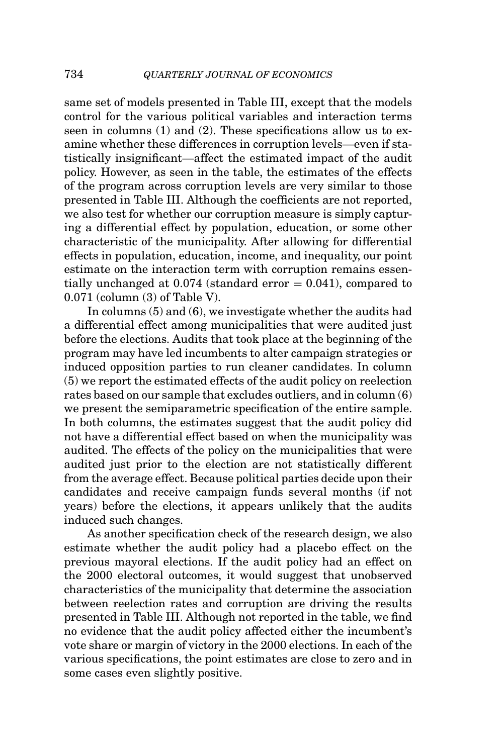same set of models presented in Table III, except that the models control for the various political variables and interaction terms seen in columns (1) and (2). These specifications allow us to examine whether these differences in corruption levels—even if statistically insignificant—affect the estimated impact of the audit policy. However, as seen in the table, the estimates of the effects of the program across corruption levels are very similar to those presented in Table III. Although the coefficients are not reported, we also test for whether our corruption measure is simply capturing a differential effect by population, education, or some other characteristic of the municipality. After allowing for differential effects in population, education, income, and inequality, our point estimate on the interaction term with corruption remains essentially unchanged at  $0.074$  (standard error  $= 0.041$ ), compared to 0.071 (column (3) of Table V).

In columns (5) and (6), we investigate whether the audits had a differential effect among municipalities that were audited just before the elections. Audits that took place at the beginning of the program may have led incumbents to alter campaign strategies or induced opposition parties to run cleaner candidates. In column (5) we report the estimated effects of the audit policy on reelection rates based on our sample that excludes outliers, and in column (6) we present the semiparametric specification of the entire sample. In both columns, the estimates suggest that the audit policy did not have a differential effect based on when the municipality was audited. The effects of the policy on the municipalities that were audited just prior to the election are not statistically different from the average effect. Because political parties decide upon their candidates and receive campaign funds several months (if not years) before the elections, it appears unlikely that the audits induced such changes.

As another specification check of the research design, we also estimate whether the audit policy had a placebo effect on the previous mayoral elections. If the audit policy had an effect on the 2000 electoral outcomes, it would suggest that unobserved characteristics of the municipality that determine the association between reelection rates and corruption are driving the results presented in Table III. Although not reported in the table, we find no evidence that the audit policy affected either the incumbent's vote share or margin of victory in the 2000 elections. In each of the various specifications, the point estimates are close to zero and in some cases even slightly positive.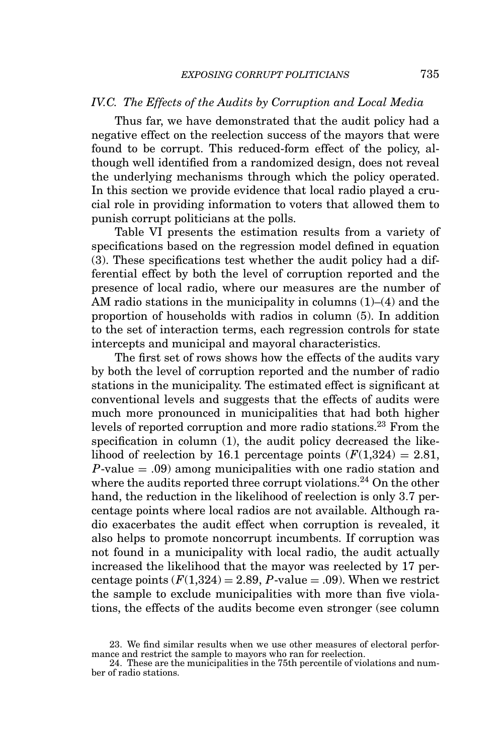### *IV.C. The Effects of the Audits by Corruption and Local Media*

Thus far, we have demonstrated that the audit policy had a negative effect on the reelection success of the mayors that were found to be corrupt. This reduced-form effect of the policy, although well identified from a randomized design, does not reveal the underlying mechanisms through which the policy operated. In this section we provide evidence that local radio played a crucial role in providing information to voters that allowed them to punish corrupt politicians at the polls.

Table VI presents the estimation results from a variety of specifications based on the regression model defined in equation (3). These specifications test whether the audit policy had a differential effect by both the level of corruption reported and the presence of local radio, where our measures are the number of AM radio stations in the municipality in columns (1)–(4) and the proportion of households with radios in column (5). In addition to the set of interaction terms, each regression controls for state intercepts and municipal and mayoral characteristics.

The first set of rows shows how the effects of the audits vary by both the level of corruption reported and the number of radio stations in the municipality. The estimated effect is significant at conventional levels and suggests that the effects of audits were much more pronounced in municipalities that had both higher levels of reported corruption and more radio stations.<sup>23</sup> From the specification in column (1), the audit policy decreased the likelihood of reelection by 16.1 percentage points  $(F(1,324) = 2.81,$ *P*-value = .09) among municipalities with one radio station and where the audits reported three corrupt violations.<sup>24</sup> On the other hand, the reduction in the likelihood of reelection is only 3.7 percentage points where local radios are not available. Although radio exacerbates the audit effect when corruption is revealed, it also helps to promote noncorrupt incumbents. If corruption was not found in a municipality with local radio, the audit actually increased the likelihood that the mayor was reelected by 17 percentage points  $(F(1,324) = 2.89, P-value = .09)$ . When we restrict the sample to exclude municipalities with more than five violations, the effects of the audits become even stronger (see column

<sup>23.</sup> We find similar results when we use other measures of electoral performance and restrict the sample to mayors who ran for reelection.

<sup>24.</sup> These are the municipalities in the 75th percentile of violations and number of radio stations.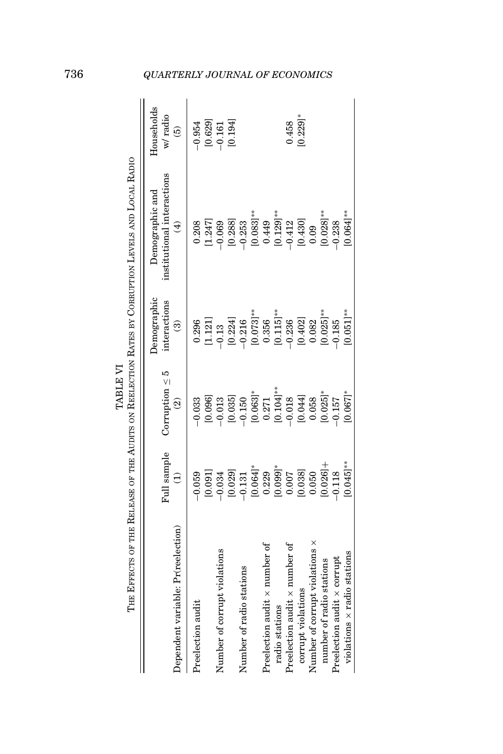|                                                                   |                         | TABLE VI                                        |                                                            | THE EFFECTS OF THE RELEASE OF THE AUDITS ON REELECTION RATES BY CORRUPTION LEVELS AND LOCAL RADIO |                                        |
|-------------------------------------------------------------------|-------------------------|-------------------------------------------------|------------------------------------------------------------|---------------------------------------------------------------------------------------------------|----------------------------------------|
| Dependent variable: Pr(reelection)                                | Full sample             | Corruption $\leq 5$<br>$\widehat{\mathfrak{D}}$ | Demographic<br>interactions<br>$\widehat{\mathbf{e}}$      | institutional interactions<br>Demographic and<br>$\hat{E}$                                        | Households<br>w/radio<br>$\widehat{e}$ |
| Preelection audit                                                 | [0.091]<br>$-0.059$     | [0.096]<br>$-0.033$                             | 0.296                                                      | [1.247]<br>0.208                                                                                  | $-0.954$                               |
| Number of corrupt violations                                      | [0.029]<br>0.034        | [0.035]<br>$-0.013$                             | [0.224]<br>$\begin{array}{c} [1.121] \\ -0.13 \end{array}$ | [0.288]<br>$-0.069$                                                                               | [0.194]<br>[0.629]                     |
| Number of radio stations                                          | $[0.064]$ *<br>$-0.131$ | $-0.150$                                        | $-0.216$                                                   | $0.083$ ]**<br>$-0.253$                                                                           |                                        |
| Preelection audit $\times$ number of<br>radio stations            | $[0.099]^*$<br>0.229    | $[0.063]^{*}$<br>0.271<br>[0.104]**             | $[0.115]$ **<br>$[0.073]^{**}$<br>0.356                    | $0.129$ ]**<br>0.449                                                                              |                                        |
| Preelection audit $\times$ number of                              | 0.007                   | $-0.018$                                        | $-0.236$                                                   | $-0.412$                                                                                          | 0.458                                  |
| Number of corrupt violations x<br>corrupt violations              | [0.038]<br>0.050        | [0.044]<br>0.058                                | [0.402]<br>0.082                                           | [0.430]<br>0.09                                                                                   | $0.229$ <sup>*</sup>                   |
| number of radio stations                                          | $0.0261 +$              | $0.025$ <sup>*</sup>                            | $0.025$ ]**                                                | $0.028$ ]**                                                                                       |                                        |
| $violations \times radio stations$<br>Preelection audit x corrupt | $[0.045]$ **<br>0.118   | $[0.067]$ *<br>$-0.157$                         | $[0.051]$ **<br>$-0.185$                                   | $0.064$ ]**<br>$-0.238$                                                                           |                                        |
|                                                                   |                         |                                                 |                                                            |                                                                                                   |                                        |

# 736 *QUARTERLY JOURNAL OF ECONOMICS*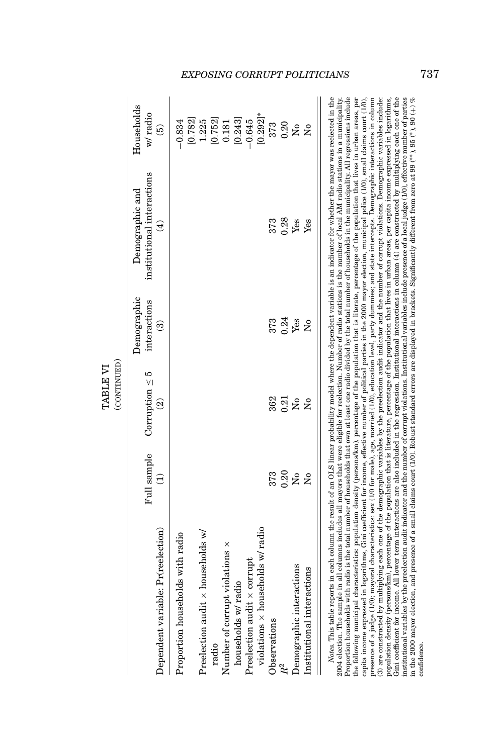|                                                                                                                                                                                                                                                                                                                                                                                                                                                                                                                                                                                                                                                                                                                                                                                                                                                                                                                                                                                                                                                                                                                                                                                                                                                                                                                                |             | (CONTINUED)<br>TABLE VI                         |                                                       |                                                              |                                        |
|--------------------------------------------------------------------------------------------------------------------------------------------------------------------------------------------------------------------------------------------------------------------------------------------------------------------------------------------------------------------------------------------------------------------------------------------------------------------------------------------------------------------------------------------------------------------------------------------------------------------------------------------------------------------------------------------------------------------------------------------------------------------------------------------------------------------------------------------------------------------------------------------------------------------------------------------------------------------------------------------------------------------------------------------------------------------------------------------------------------------------------------------------------------------------------------------------------------------------------------------------------------------------------------------------------------------------------|-------------|-------------------------------------------------|-------------------------------------------------------|--------------------------------------------------------------|----------------------------------------|
| Dependent variable: Pr(reelection)                                                                                                                                                                                                                                                                                                                                                                                                                                                                                                                                                                                                                                                                                                                                                                                                                                                                                                                                                                                                                                                                                                                                                                                                                                                                                             | Full sample | Corruption $\leq 5$<br>$\widehat{\mathfrak{D}}$ | Demographic<br>interactions<br>$\widehat{\mathbf{e}}$ | institutional interactions<br>Demographic and<br>$\bigoplus$ | Households<br>w/radio<br>$\widehat{e}$ |
| Proportion households with radio                                                                                                                                                                                                                                                                                                                                                                                                                                                                                                                                                                                                                                                                                                                                                                                                                                                                                                                                                                                                                                                                                                                                                                                                                                                                                               |             |                                                 |                                                       |                                                              | [0.782]<br>$-0.834$                    |
| Preelection audit $\times$ households w/                                                                                                                                                                                                                                                                                                                                                                                                                                                                                                                                                                                                                                                                                                                                                                                                                                                                                                                                                                                                                                                                                                                                                                                                                                                                                       |             |                                                 |                                                       |                                                              | 1.225                                  |
| radio                                                                                                                                                                                                                                                                                                                                                                                                                                                                                                                                                                                                                                                                                                                                                                                                                                                                                                                                                                                                                                                                                                                                                                                                                                                                                                                          |             |                                                 |                                                       |                                                              | [0.752]                                |
| Number of corrupt violations x                                                                                                                                                                                                                                                                                                                                                                                                                                                                                                                                                                                                                                                                                                                                                                                                                                                                                                                                                                                                                                                                                                                                                                                                                                                                                                 |             |                                                 |                                                       |                                                              | 0.181                                  |
| households w/ radio                                                                                                                                                                                                                                                                                                                                                                                                                                                                                                                                                                                                                                                                                                                                                                                                                                                                                                                                                                                                                                                                                                                                                                                                                                                                                                            |             |                                                 |                                                       |                                                              | [0.243]                                |
| Preelection audit x corrupt                                                                                                                                                                                                                                                                                                                                                                                                                                                                                                                                                                                                                                                                                                                                                                                                                                                                                                                                                                                                                                                                                                                                                                                                                                                                                                    |             |                                                 |                                                       |                                                              | $-0.645$                               |
| $violations \times households w/radio$                                                                                                                                                                                                                                                                                                                                                                                                                                                                                                                                                                                                                                                                                                                                                                                                                                                                                                                                                                                                                                                                                                                                                                                                                                                                                         |             |                                                 |                                                       |                                                              | $[0.292]$ *                            |
| Observations                                                                                                                                                                                                                                                                                                                                                                                                                                                                                                                                                                                                                                                                                                                                                                                                                                                                                                                                                                                                                                                                                                                                                                                                                                                                                                                   | 373         | 362                                             | 373                                                   | 373                                                          | 373                                    |
|                                                                                                                                                                                                                                                                                                                                                                                                                                                                                                                                                                                                                                                                                                                                                                                                                                                                                                                                                                                                                                                                                                                                                                                                                                                                                                                                | 0.20        | 0.21                                            | 0.24                                                  | 0.28                                                         | 0.20                                   |
| Demographic interactions                                                                                                                                                                                                                                                                                                                                                                                                                                                                                                                                                                                                                                                                                                                                                                                                                                                                                                                                                                                                                                                                                                                                                                                                                                                                                                       | å           | $\tilde{\mathbf{z}}$                            | Yes                                                   | Yes                                                          | å                                      |
| Institutional interactions                                                                                                                                                                                                                                                                                                                                                                                                                                                                                                                                                                                                                                                                                                                                                                                                                                                                                                                                                                                                                                                                                                                                                                                                                                                                                                     | Ş           | å                                               | å                                                     | Yes                                                          |                                        |
| Notes. This table reports in each column the result of an OLS linear probability model where the dependent variable is an indicator for whether the mayor was reelected in the<br>Proportion households with radio is the total number of households that own at least one radio divided by the total number of households in the municipality. All regressions include<br>the following municipal characteristics: population density (persons/km), percentage of the population that is literate, percentage of the population that lives in urban areas, per<br>presence of a judge (1/0); mayoral characteristics: sex (1/0 for male), age, married (1/0), education level, party dummies; and state intercepts. Demographic interactions in column<br>2004 election. The sample in all columns includes all mayors that were eligible for reelection. Number of radio stations is the number of local AM radio stations in a municipality.<br>capita income expressed in logarithms, Gini coefficient for income, effective number of political parties in the 2000 mayor election, municipal police (1/0), small claims court (1/0),<br>(3) are constructed by multiplying each one of the demographic variables by the preelection audit indicator and the number of corrupt violations. Demographic variables include: |             |                                                 |                                                       |                                                              |                                        |

*EXPOSING CORRUPT POLITICIANS* 737

(3) are constructed by multiplying each one of the demographic variables by the preelection audit indicator and the number of corrupt violations. Demographic variables include: population density (persons/km), percentage of the population that is literature, percentage of the population that lives in urban areas, per capita income expressed in logarithms, Gini coefficient for income. All lower term interactions are also included in the regression. Institutional interactions in column (4) are constructed by multiplying each one of the institutional variables by the preelection audit indicator and the number of corrupt violations. Institutional variables include presence of a local judge (1/0), effective number of parties in the 2000 mayor election, and presence of a small claims court (1/0). Robust standard errors are displayed in brackets. Significantly different from zero at 99 (∗∗), 95 (∗), 90 (+) %

population density (persons/km), percentage of the population that is literature, percentage of the population that lives in urban areas, per capita income expressed in logarithms, Giri coefficient for income. All lower t

confidence.

confidence.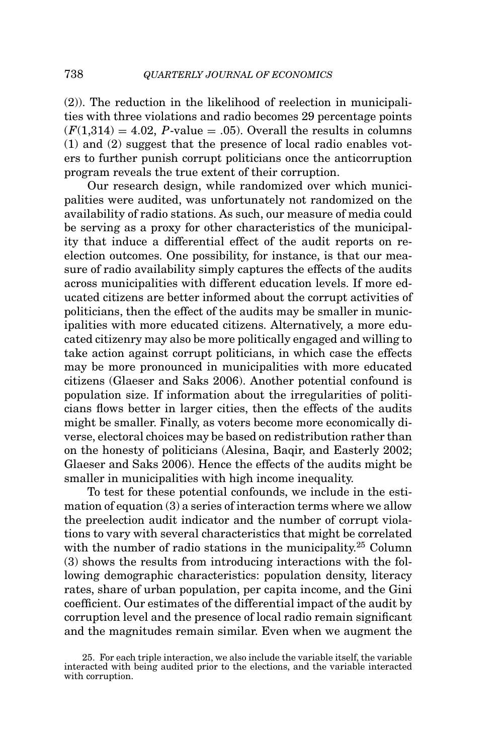(2)). The reduction in the likelihood of reelection in municipalities with three violations and radio becomes 29 percentage points  $(F(1,314) = 4.02, P-value = .05)$ . Overall the results in columns (1) and (2) suggest that the presence of local radio enables voters to further punish corrupt politicians once the anticorruption program reveals the true extent of their corruption.

Our research design, while randomized over which municipalities were audited, was unfortunately not randomized on the availability of radio stations. As such, our measure of media could be serving as a proxy for other characteristics of the municipality that induce a differential effect of the audit reports on reelection outcomes. One possibility, for instance, is that our measure of radio availability simply captures the effects of the audits across municipalities with different education levels. If more educated citizens are better informed about the corrupt activities of politicians, then the effect of the audits may be smaller in municipalities with more educated citizens. Alternatively, a more educated citizenry may also be more politically engaged and willing to take action against corrupt politicians, in which case the effects may be more pronounced in municipalities with more educated citizens (Glaeser and Saks 2006). Another potential confound is population size. If information about the irregularities of politicians flows better in larger cities, then the effects of the audits might be smaller. Finally, as voters become more economically diverse, electoral choices may be based on redistribution rather than on the honesty of politicians (Alesina, Baqir, and Easterly 2002; Glaeser and Saks 2006). Hence the effects of the audits might be smaller in municipalities with high income inequality.

To test for these potential confounds, we include in the estimation of equation (3) a series of interaction terms where we allow the preelection audit indicator and the number of corrupt violations to vary with several characteristics that might be correlated with the number of radio stations in the municipality.<sup>25</sup> Column (3) shows the results from introducing interactions with the following demographic characteristics: population density, literacy rates, share of urban population, per capita income, and the Gini coefficient. Our estimates of the differential impact of the audit by corruption level and the presence of local radio remain significant and the magnitudes remain similar. Even when we augment the

<sup>25.</sup> For each triple interaction, we also include the variable itself, the variable interacted with being audited prior to the elections, and the variable interacted with corruption.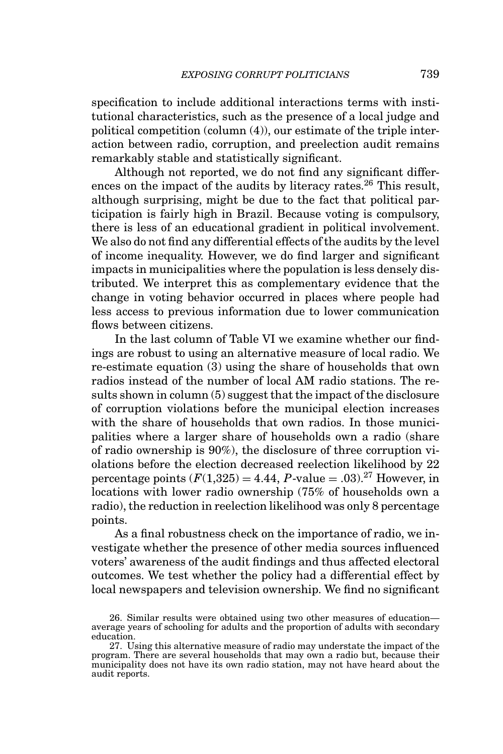specification to include additional interactions terms with institutional characteristics, such as the presence of a local judge and political competition (column (4)), our estimate of the triple interaction between radio, corruption, and preelection audit remains remarkably stable and statistically significant.

Although not reported, we do not find any significant differences on the impact of the audits by literacy rates.<sup>26</sup> This result, although surprising, might be due to the fact that political participation is fairly high in Brazil. Because voting is compulsory, there is less of an educational gradient in political involvement. We also do not find any differential effects of the audits by the level of income inequality. However, we do find larger and significant impacts in municipalities where the population is less densely distributed. We interpret this as complementary evidence that the change in voting behavior occurred in places where people had less access to previous information due to lower communication flows between citizens.

In the last column of Table VI we examine whether our findings are robust to using an alternative measure of local radio. We re-estimate equation (3) using the share of households that own radios instead of the number of local AM radio stations. The results shown in column (5) suggest that the impact of the disclosure of corruption violations before the municipal election increases with the share of households that own radios. In those municipalities where a larger share of households own a radio (share of radio ownership is 90%), the disclosure of three corruption violations before the election decreased reelection likelihood by 22 percentage points  $(F(1,325) = 4.44, P$ -value  $= .03$ )<sup>27</sup> However, in locations with lower radio ownership (75% of households own a radio), the reduction in reelection likelihood was only 8 percentage points.

As a final robustness check on the importance of radio, we investigate whether the presence of other media sources influenced voters' awareness of the audit findings and thus affected electoral outcomes. We test whether the policy had a differential effect by local newspapers and television ownership. We find no significant

<sup>26.</sup> Similar results were obtained using two other measures of education— average years of schooling for adults and the proportion of adults with secondary education.

<sup>27.</sup> Using this alternative measure of radio may understate the impact of the program. There are several households that may own a radio but, because their municipality does not have its own radio station, may not have heard about the audit reports.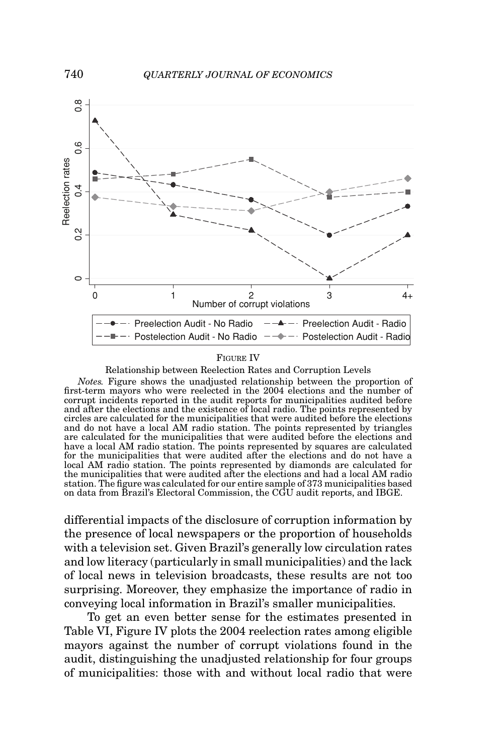

### FIGURE IV

Relationship between Reelection Rates and Corruption Levels

*Notes.* Figure shows the unadjusted relationship between the proportion of first-term mayors who were reelected in the 2004 elections and the number of corrupt incidents reported in the audit reports for municipalities audited before and after the elections and the existence of local radio. The points represented by circles are calculated for the municipalities that were audited before the elections and do not have a local AM radio station. The points represented by triangles are calculated for the municipalities that were audited before the elections and have a local AM radio station. The points represented by squares are calculated for the municipalities that were audited after the elections and do not have a local AM radio station. The points represented by diamonds are calculated for the municipalities that were audited after the elections and had a local AM radio station. The figure was calculated for our entire sample of 373 municipalities based on data from Brazil's Electoral Commission, the CGU audit reports, and IBGE.

differential impacts of the disclosure of corruption information by the presence of local newspapers or the proportion of households with a television set. Given Brazil's generally low circulation rates and low literacy (particularly in small municipalities) and the lack of local news in television broadcasts, these results are not too surprising. Moreover, they emphasize the importance of radio in conveying local information in Brazil's smaller municipalities.

To get an even better sense for the estimates presented in Table VI, Figure IV plots the 2004 reelection rates among eligible mayors against the number of corrupt violations found in the audit, distinguishing the unadjusted relationship for four groups of municipalities: those with and without local radio that were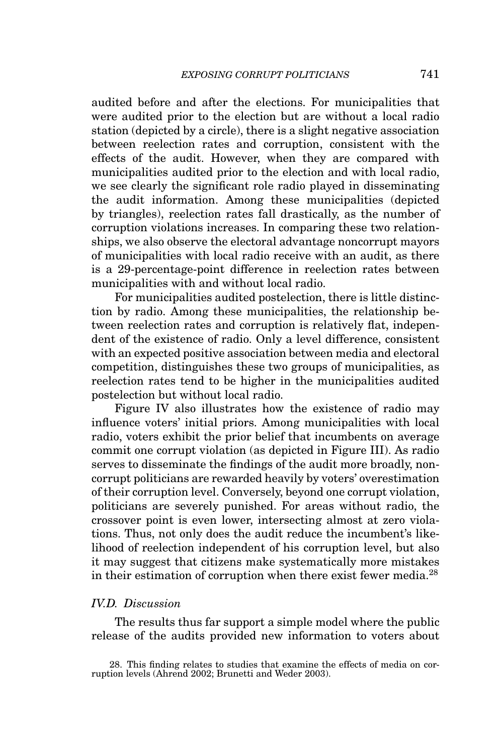audited before and after the elections. For municipalities that were audited prior to the election but are without a local radio station (depicted by a circle), there is a slight negative association between reelection rates and corruption, consistent with the effects of the audit. However, when they are compared with municipalities audited prior to the election and with local radio, we see clearly the significant role radio played in disseminating the audit information. Among these municipalities (depicted by triangles), reelection rates fall drastically, as the number of corruption violations increases. In comparing these two relationships, we also observe the electoral advantage noncorrupt mayors of municipalities with local radio receive with an audit, as there is a 29-percentage-point difference in reelection rates between municipalities with and without local radio.

For municipalities audited postelection, there is little distinction by radio. Among these municipalities, the relationship between reelection rates and corruption is relatively flat, independent of the existence of radio. Only a level difference, consistent with an expected positive association between media and electoral competition, distinguishes these two groups of municipalities, as reelection rates tend to be higher in the municipalities audited postelection but without local radio.

Figure IV also illustrates how the existence of radio may influence voters' initial priors. Among municipalities with local radio, voters exhibit the prior belief that incumbents on average commit one corrupt violation (as depicted in Figure III). As radio serves to disseminate the findings of the audit more broadly, noncorrupt politicians are rewarded heavily by voters' overestimation of their corruption level. Conversely, beyond one corrupt violation, politicians are severely punished. For areas without radio, the crossover point is even lower, intersecting almost at zero violations. Thus, not only does the audit reduce the incumbent's likelihood of reelection independent of his corruption level, but also it may suggest that citizens make systematically more mistakes in their estimation of corruption when there exist fewer media.28

### *IV.D. Discussion*

The results thus far support a simple model where the public release of the audits provided new information to voters about

<sup>28.</sup> This finding relates to studies that examine the effects of media on corruption levels (Ahrend 2002; Brunetti and Weder 2003).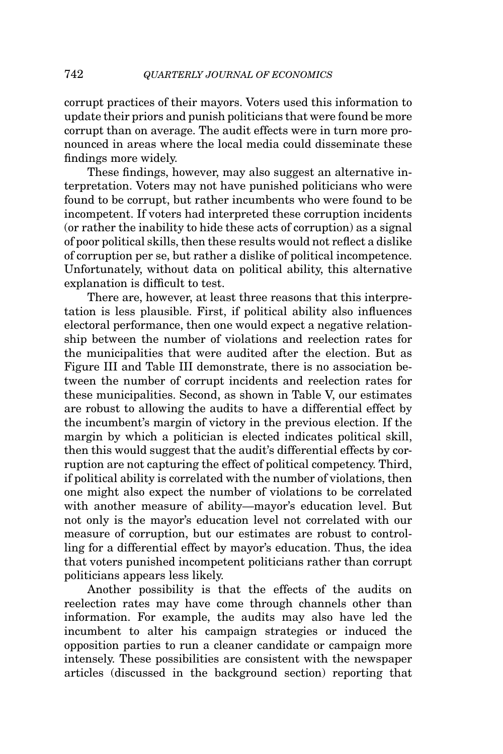corrupt practices of their mayors. Voters used this information to update their priors and punish politicians that were found be more corrupt than on average. The audit effects were in turn more pronounced in areas where the local media could disseminate these findings more widely.

These findings, however, may also suggest an alternative interpretation. Voters may not have punished politicians who were found to be corrupt, but rather incumbents who were found to be incompetent. If voters had interpreted these corruption incidents (or rather the inability to hide these acts of corruption) as a signal of poor political skills, then these results would not reflect a dislike of corruption per se, but rather a dislike of political incompetence. Unfortunately, without data on political ability, this alternative explanation is difficult to test.

There are, however, at least three reasons that this interpretation is less plausible. First, if political ability also influences electoral performance, then one would expect a negative relationship between the number of violations and reelection rates for the municipalities that were audited after the election. But as Figure III and Table III demonstrate, there is no association between the number of corrupt incidents and reelection rates for these municipalities. Second, as shown in Table V, our estimates are robust to allowing the audits to have a differential effect by the incumbent's margin of victory in the previous election. If the margin by which a politician is elected indicates political skill, then this would suggest that the audit's differential effects by corruption are not capturing the effect of political competency. Third, if political ability is correlated with the number of violations, then one might also expect the number of violations to be correlated with another measure of ability—mayor's education level. But not only is the mayor's education level not correlated with our measure of corruption, but our estimates are robust to controlling for a differential effect by mayor's education. Thus, the idea that voters punished incompetent politicians rather than corrupt politicians appears less likely.

Another possibility is that the effects of the audits on reelection rates may have come through channels other than information. For example, the audits may also have led the incumbent to alter his campaign strategies or induced the opposition parties to run a cleaner candidate or campaign more intensely. These possibilities are consistent with the newspaper articles (discussed in the background section) reporting that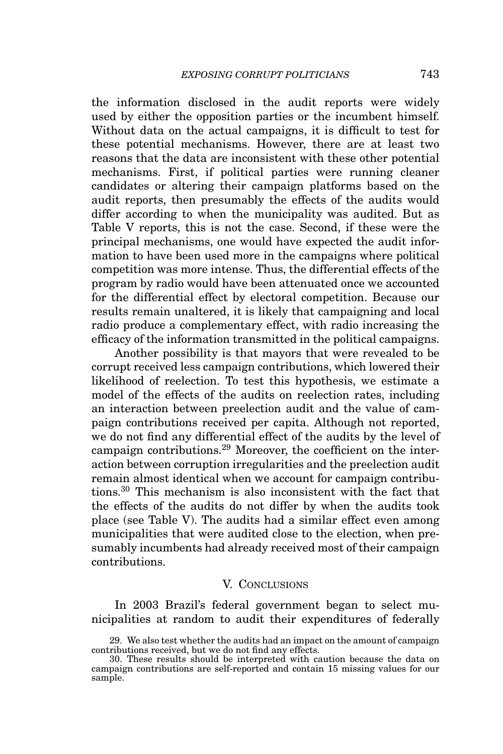the information disclosed in the audit reports were widely used by either the opposition parties or the incumbent himself. Without data on the actual campaigns, it is difficult to test for these potential mechanisms. However, there are at least two reasons that the data are inconsistent with these other potential mechanisms. First, if political parties were running cleaner candidates or altering their campaign platforms based on the audit reports, then presumably the effects of the audits would differ according to when the municipality was audited. But as Table V reports, this is not the case. Second, if these were the principal mechanisms, one would have expected the audit information to have been used more in the campaigns where political competition was more intense. Thus, the differential effects of the program by radio would have been attenuated once we accounted for the differential effect by electoral competition. Because our results remain unaltered, it is likely that campaigning and local radio produce a complementary effect, with radio increasing the efficacy of the information transmitted in the political campaigns.

Another possibility is that mayors that were revealed to be corrupt received less campaign contributions, which lowered their likelihood of reelection. To test this hypothesis, we estimate a model of the effects of the audits on reelection rates, including an interaction between preelection audit and the value of campaign contributions received per capita. Although not reported, we do not find any differential effect of the audits by the level of campaign contributions.<sup>29</sup> Moreover, the coefficient on the interaction between corruption irregularities and the preelection audit remain almost identical when we account for campaign contributions.<sup>30</sup> This mechanism is also inconsistent with the fact that the effects of the audits do not differ by when the audits took place (see Table V). The audits had a similar effect even among municipalities that were audited close to the election, when presumably incumbents had already received most of their campaign contributions.

### V. CONCLUSIONS

In 2003 Brazil's federal government began to select municipalities at random to audit their expenditures of federally

<sup>29.</sup> We also test whether the audits had an impact on the amount of campaign contributions received, but we do not find any effects.

<sup>30.</sup> These results should be interpreted with caution because the data on campaign contributions are self-reported and contain 15 missing values for our sample.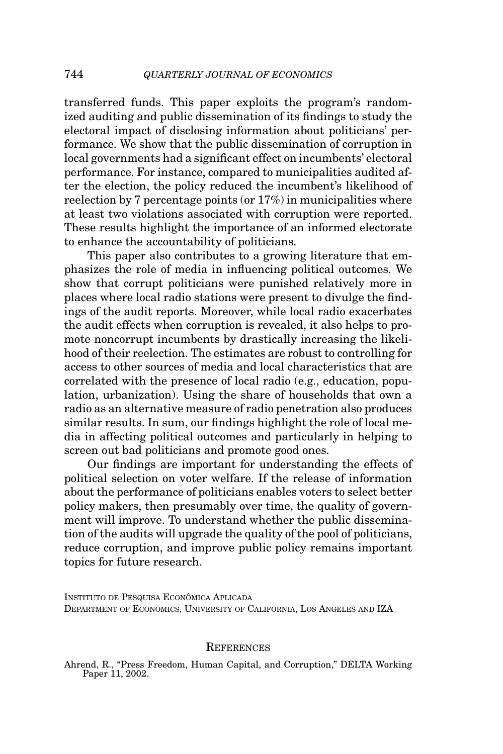transferred funds. This paper exploits the program's randomized auditing and public dissemination of its findings to study the electoral impact of disclosing information about politicians' performance. We show that the public dissemination of corruption in local governments had a significant effect on incumbents' electoral performance. For instance, compared to municipalities audited after the election, the policy reduced the incumbent's likelihood of reelection by 7 percentage points (or 17%) in municipalities where at least two violations associated with corruption were reported. These results highlight the importance of an informed electorate to enhance the accountability of politicians.

This paper also contributes to a growing literature that emphasizes the role of media in influencing political outcomes. We show that corrupt politicians were punished relatively more in places where local radio stations were present to divulge the findings of the audit reports. Moreover, while local radio exacerbates the audit effects when corruption is revealed, it also helps to promote noncorrupt incumbents by drastically increasing the likelihood of their reelection. The estimates are robust to controlling for access to other sources of media and local characteristics that are correlated with the presence of local radio (e.g., education, population, urbanization). Using the share of households that own a radio as an alternative measure of radio penetration also produces similar results. In sum, our findings highlight the role of local media in affecting political outcomes and particularly in helping to screen out bad politicians and promote good ones.

Our findings are important for understanding the effects of political selection on voter welfare. If the release of information about the performance of politicians enables voters to select better policy makers, then presumably over time, the quality of government will improve. To understand whether the public dissemination of the audits will upgrade the quality of the pool of politicians, reduce corruption, and improve public policy remains important topics for future research.

INSTITUTO DE PESQUISA ECONÔMICA APLICADA DEPARTMENT OF ECONOMICS, UNIVERSITY OF CALIFORNIA, LOS ANGELES AND IZA

### **REFERENCES**

Ahrend, R., "Press Freedom, Human Capital, and Corruption," DELTA Working Paper 11, 2002.